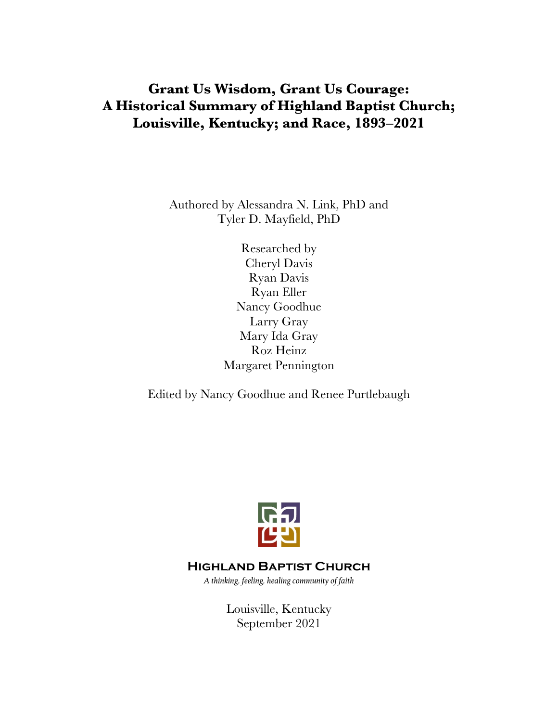# **Grant Us Wisdom, Grant Us Courage: A Historical Summary of Highland Baptist Church; Louisville, Kentucky; and Race, 1893‒2021**

Authored by Alessandra N. Link, PhD and Tyler D. Mayfield, PhD

> Researched by Cheryl Davis Ryan Davis Ryan Eller Nancy Goodhue Larry Gray Mary Ida Gray Roz Heinz Margaret Pennington

Edited by Nancy Goodhue and Renee Purtlebaugh



## **Highland Baptist Church**

*A thinking, feeling, healing community of faith*

Louisville, Kentucky September 2021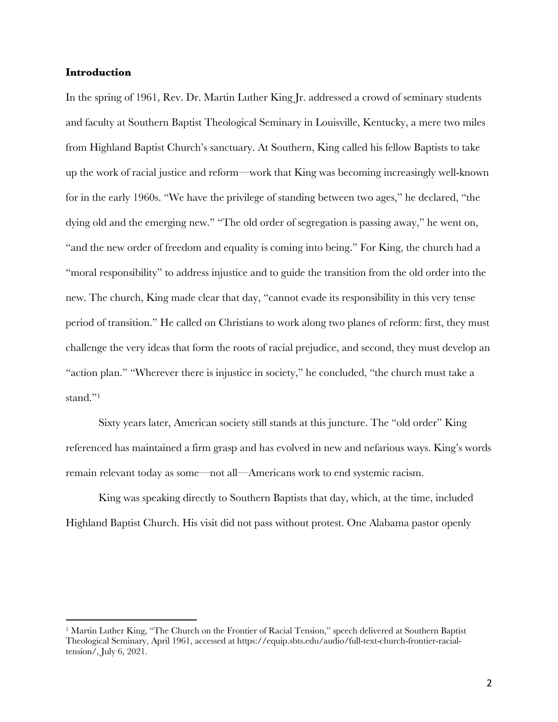## **Introduction**

In the spring of 1961, Rev. Dr. Martin Luther King Jr. addressed a crowd of seminary students and faculty at Southern Baptist Theological Seminary in Louisville, Kentucky, a mere two miles from Highland Baptist Church's sanctuary. At Southern, King called his fellow Baptists to take up the work of racial justice and reform—work that King was becoming increasingly well-known for in the early 1960s. "We have the privilege of standing between two ages," he declared, "the dying old and the emerging new." "The old order of segregation is passing away," he went on, "and the new order of freedom and equality is coming into being." For King, the church had a "moral responsibility" to address injustice and to guide the transition from the old order into the new. The church, King made clear that day, "cannot evade its responsibility in this very tense period of transition." He called on Christians to work along two planes of reform: first, they must challenge the very ideas that form the roots of racial prejudice, and second, they must develop an "action plan." "Wherever there is injustice in society," he concluded, "the church must take a stand."<sup>1</sup>

Sixty years later, American society still stands at this juncture. The "old order" King referenced has maintained a firm grasp and has evolved in new and nefarious ways. King's words remain relevant today as some—not all—Americans work to end systemic racism.

King was speaking directly to Southern Baptists that day, which, at the time, included Highland Baptist Church. His visit did not pass without protest. One Alabama pastor openly

<sup>1</sup> Martin Luther King, "The Church on the Frontier of Racial Tension," speech delivered at Southern Baptist Theological Seminary, April 1961, accessed at https://equip.sbts.edu/audio/full-text-church-frontier-racialtension/, July 6, 2021.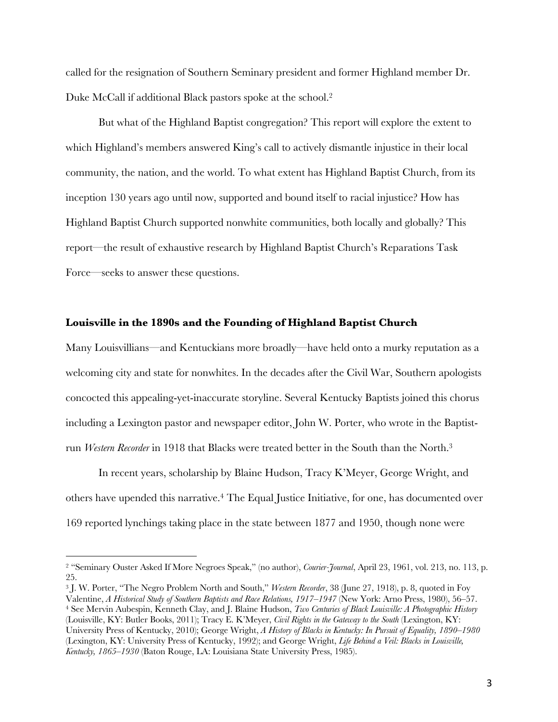called for the resignation of Southern Seminary president and former Highland member Dr. Duke McCall if additional Black pastors spoke at the school.2

But what of the Highland Baptist congregation? This report will explore the extent to which Highland's members answered King's call to actively dismantle injustice in their local community, the nation, and the world. To what extent has Highland Baptist Church, from its inception 130 years ago until now, supported and bound itself to racial injustice? How has Highland Baptist Church supported nonwhite communities, both locally and globally? This report—the result of exhaustive research by Highland Baptist Church's Reparations Task Force—seeks to answer these questions.

#### **Louisville in the 1890s and the Founding of Highland Baptist Church**

Many Louisvillians—and Kentuckians more broadly—have held onto a murky reputation as a welcoming city and state for nonwhites. In the decades after the Civil War, Southern apologists concocted this appealing-yet-inaccurate storyline. Several Kentucky Baptists joined this chorus including a Lexington pastor and newspaper editor, John W. Porter, who wrote in the Baptistrun *Western Recorder* in 1918 that Blacks were treated better in the South than the North.3

In recent years, scholarship by Blaine Hudson, Tracy K'Meyer, George Wright, and others have upended this narrative.4 The Equal Justice Initiative, for one, has documented over 169 reported lynchings taking place in the state between 1877 and 1950, though none were

<sup>3</sup> J. W. Porter, "The Negro Problem North and South," *Western Recorder*, 38 (June 27, 1918), p. 8, quoted in Foy Valentine, *A Historical Study of Southern Baptists and Race Relations, 1917‒1947* (New York: Arno Press, 1980), 56‒57. <sup>4</sup> See Mervin Aubespin, Kenneth Clay, and J. Blaine Hudson, *Two Centuries of Black Louisville: A Photographic History* (Louisville, KY: Butler Books, 2011); Tracy E. K'Meyer, *Civil Rights in the Gateway to the South* (Lexington, KY: University Press of Kentucky, 2010); George Wright, *A History of Blacks in Kentucky: In Pursuit of Equality, 1890‒1980* (Lexington, KY: University Press of Kentucky, 1992); and George Wright, *Life Behind a Veil: Blacks in Louisville, Kentucky, 1865‒1930* (Baton Rouge, LA: Louisiana State University Press, 1985).

<sup>2</sup> "Seminary Ouster Asked If More Negroes Speak," (no author), *Courier-Journal*, April 23, 1961, vol. 213, no. 113, p. 25.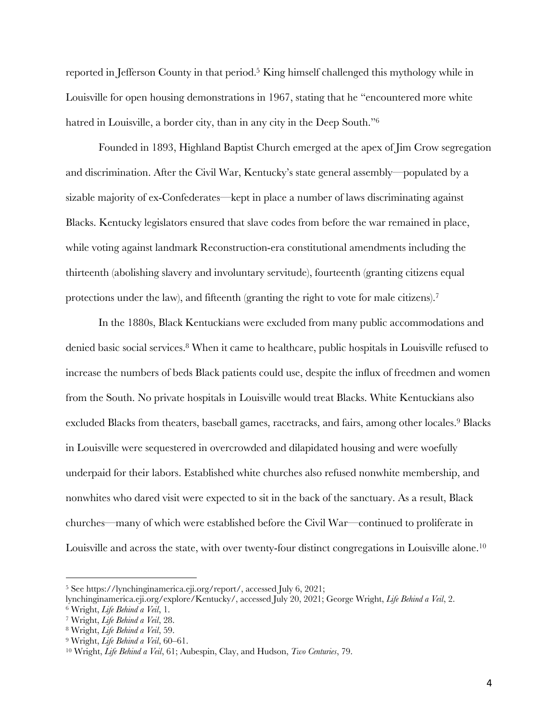reported in Jefferson County in that period.<sup>5</sup> King himself challenged this mythology while in Louisville for open housing demonstrations in 1967, stating that he "encountered more white hatred in Louisville, a border city, than in any city in the Deep South.<sup>"6</sup>

Founded in 1893, Highland Baptist Church emerged at the apex of Jim Crow segregation and discrimination. After the Civil War, Kentucky's state general assembly—populated by a sizable majority of ex-Confederates—kept in place a number of laws discriminating against Blacks. Kentucky legislators ensured that slave codes from before the war remained in place, while voting against landmark Reconstruction-era constitutional amendments including the thirteenth (abolishing slavery and involuntary servitude), fourteenth (granting citizens equal protections under the law), and fifteenth (granting the right to vote for male citizens).<sup>7</sup>

In the 1880s, Black Kentuckians were excluded from many public accommodations and denied basic social services.8 When it came to healthcare, public hospitals in Louisville refused to increase the numbers of beds Black patients could use, despite the influx of freedmen and women from the South. No private hospitals in Louisville would treat Blacks. White Kentuckians also excluded Blacks from theaters, baseball games, racetracks, and fairs, among other locales.<sup>9</sup> Blacks in Louisville were sequestered in overcrowded and dilapidated housing and were woefully underpaid for their labors. Established white churches also refused nonwhite membership, and nonwhites who dared visit were expected to sit in the back of the sanctuary. As a result, Black churches—many of which were established before the Civil War—continued to proliferate in Louisville and across the state, with over twenty-four distinct congregations in Louisville alone.10

<sup>5</sup> See https://lynchinginamerica.eji.org/report/, accessed July 6, 2021;

lynchinginamerica.eji.org/explore/Kentucky/, accessed July 20, 2021; George Wright, *Life Behind a Veil*, 2.

<sup>6</sup> Wright, *Life Behind a Veil*, 1.

<sup>7</sup> Wright, *Life Behind a Veil*, 28.

<sup>8</sup> Wright, *Life Behind a Veil*, 59. 9 Wright, *Life Behind a Veil*, 60‒61.

<sup>10</sup> Wright, *Life Behind a Veil*, 61; Aubespin, Clay, and Hudson, *Two Centuries*, 79.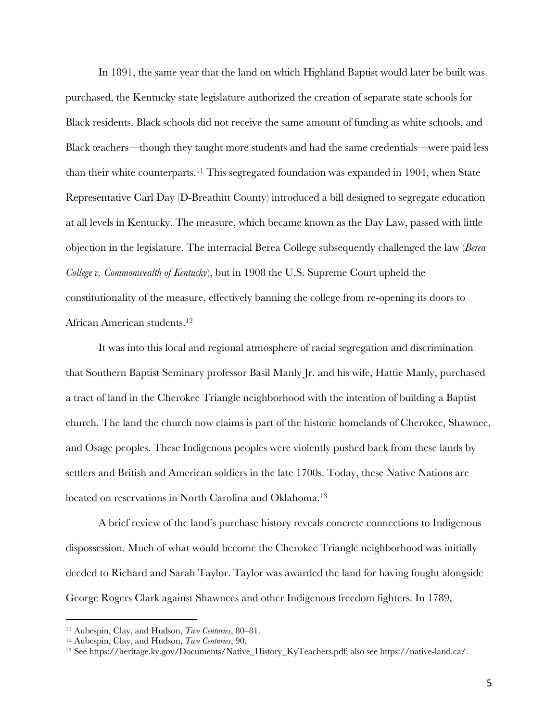In 1891, the same year that the land on which Highland Baptist would later be built was purchased, the Kentucky state legislature authorized the creation of separate state schools for Black residents. Black schools did not receive the same amount of funding as white schools, and Black teachers—though they taught more students and had the same credentials—were paid less than their white counterparts.11 This segregated foundation was expanded in 1904, when State Representative Carl Day (D-Breathitt County) introduced a bill designed to segregate education at all levels in Kentucky. The measure, which became known as the Day Law, passed with little objection in the legislature. The interracial Berea College subsequently challenged the law (*Berea College v. Commonwealth of Kentucky*), but in 1908 the U.S. Supreme Court upheld the constitutionality of the measure, effectively banning the college from re-opening its doors to African American students.12

It was into this local and regional atmosphere of racial segregation and discrimination that Southern Baptist Seminary professor Basil Manly Jr. and his wife, Hattie Manly, purchased a tract of land in the Cherokee Triangle neighborhood with the intention of building a Baptist church. The land the church now claims is part of the historic homelands of Cherokee, Shawnee, and Osage peoples. These Indigenous peoples were violently pushed back from these lands by settlers and British and American soldiers in the late 1700s. Today, these Native Nations are located on reservations in North Carolina and Oklahoma.<sup>13</sup>

A brief review of the land's purchase history reveals concrete connections to Indigenous dispossession. Much of what would become the Cherokee Triangle neighborhood was initially deeded to Richard and Sarah Taylor. Taylor was awarded the land for having fought alongside George Rogers Clark against Shawnees and other Indigenous freedom fighters. In 1789,

<sup>11</sup> Aubespin, Clay, and Hudson, *Two Centuries*, 80‒81.

<sup>&</sup>lt;sup>12</sup> Aubespin, Clay, and Hudson, *Two Centuries*, 90.<br><sup>13</sup> See https://heritage.ky.gov/Documents/Native\_History\_KyTeachers.pdf; also see https://native-land.ca/.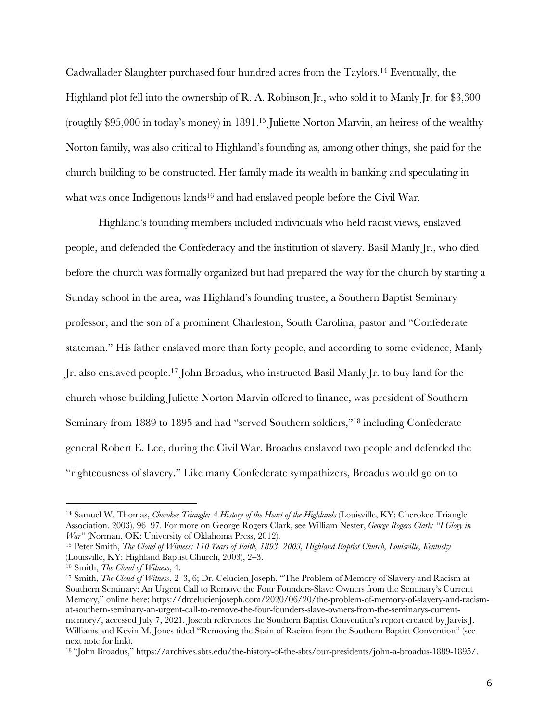Cadwallader Slaughter purchased four hundred acres from the Taylors.14 Eventually, the Highland plot fell into the ownership of R. A. Robinson Jr., who sold it to Manly Jr. for \$3,300 (roughly \$95,000 in today's money) in 1891.15 Juliette Norton Marvin, an heiress of the wealthy Norton family, was also critical to Highland's founding as, among other things, she paid for the church building to be constructed. Her family made its wealth in banking and speculating in what was once Indigenous lands<sup>16</sup> and had enslaved people before the Civil War.

Highland's founding members included individuals who held racist views, enslaved people, and defended the Confederacy and the institution of slavery. Basil Manly Jr., who died before the church was formally organized but had prepared the way for the church by starting a Sunday school in the area, was Highland's founding trustee, a Southern Baptist Seminary professor, and the son of a prominent Charleston, South Carolina, pastor and "Confederate stateman." His father enslaved more than forty people, and according to some evidence, Manly Jr. also enslaved people.17 John Broadus, who instructed Basil Manly Jr. to buy land for the church whose building Juliette Norton Marvin offered to finance, was president of Southern Seminary from 1889 to 1895 and had "served Southern soldiers,"18 including Confederate general Robert E. Lee, during the Civil War. Broadus enslaved two people and defended the "righteousness of slavery." Like many Confederate sympathizers, Broadus would go on to

<sup>14</sup> Samuel W. Thomas, *Cherokee Triangle: A History of the Heart of the Highlands* (Louisville, KY: Cherokee Triangle Association, 2003), 96‒97. For more on George Rogers Clark, see William Nester, *George Rogers Clark: "I Glory in War"* (Norman, OK: University of Oklahoma Press, 2012).

<sup>15</sup> Peter Smith, *The Cloud of Witness: 110 Years of Faith, 1893‒2003, Highland Baptist Church, Louisville, Kentucky*  (Louisville, KY: Highland Baptist Church, 2003), 2‒3.

<sup>16</sup> Smith, *The Cloud of Witness*, 4.

<sup>17</sup> Smith, *The Cloud of Witness*, 2‒3, 6; Dr. Celucien Joseph, "The Problem of Memory of Slavery and Racism at Southern Seminary: An Urgent Call to Remove the Four Founders-Slave Owners from the Seminary's Current Memory," online here: https://drcelucienjoseph.com/2020/06/20/the-problem-of-memory-of-slavery-and-racismat-southern-seminary-an-urgent-call-to-remove-the-four-founders-slave-owners-from-the-seminarys-currentmemory/, accessed July 7, 2021. Joseph references the Southern Baptist Convention's report created by Jarvis J. Williams and Kevin M. Jones titled "Removing the Stain of Racism from the Southern Baptist Convention" (see next note for link).

<sup>18</sup> "John Broadus," https://archives.sbts.edu/the-history-of-the-sbts/our-presidents/john-a-broadus-1889-1895/.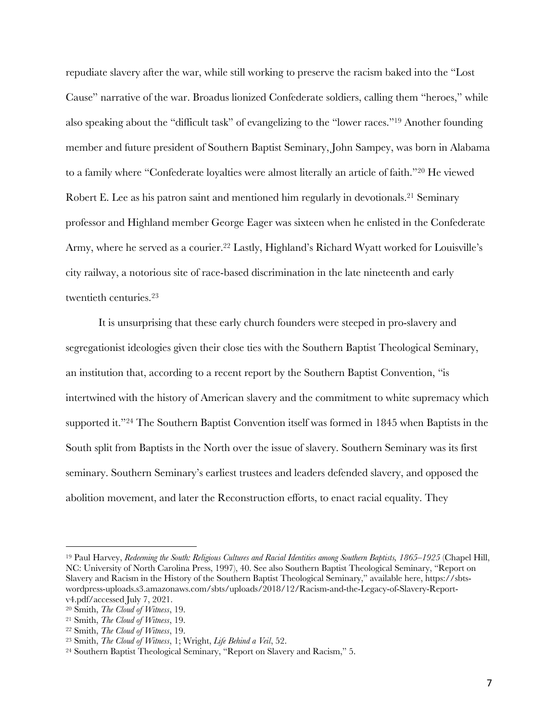repudiate slavery after the war, while still working to preserve the racism baked into the "Lost Cause" narrative of the war. Broadus lionized Confederate soldiers, calling them "heroes," while also speaking about the "difficult task" of evangelizing to the "lower races."19 Another founding member and future president of Southern Baptist Seminary, John Sampey, was born in Alabama to a family where "Confederate loyalties were almost literally an article of faith."20 He viewed Robert E. Lee as his patron saint and mentioned him regularly in devotionals.<sup>21</sup> Seminary professor and Highland member George Eager was sixteen when he enlisted in the Confederate Army, where he served as a courier.<sup>22</sup> Lastly, Highland's Richard Wyatt worked for Louisville's city railway, a notorious site of race-based discrimination in the late nineteenth and early twentieth centuries.23

It is unsurprising that these early church founders were steeped in pro-slavery and segregationist ideologies given their close ties with the Southern Baptist Theological Seminary, an institution that, according to a recent report by the Southern Baptist Convention, "is intertwined with the history of American slavery and the commitment to white supremacy which supported it."24 The Southern Baptist Convention itself was formed in 1845 when Baptists in the South split from Baptists in the North over the issue of slavery. Southern Seminary was its first seminary. Southern Seminary's earliest trustees and leaders defended slavery, and opposed the abolition movement, and later the Reconstruction efforts, to enact racial equality. They

<sup>&</sup>lt;sup>19</sup> Paul Harvey, *Redeeming the South: Religious Cultures and Racial Identities among Southern Baptists, 1865–1925* (Chapel Hill, NC: University of North Carolina Press, 1997), 40. See also Southern Baptist Theological Seminary, "Report on Slavery and Racism in the History of the Southern Baptist Theological Seminary," available here, https://sbtswordpress-uploads.s3.amazonaws.com/sbts/uploads/2018/12/Racism-and-the-Legacy-of-Slavery-Reportv4.pdf/accessed July 7, 2021.

<sup>20</sup> Smith, *The Cloud of Witness*, 19.

<sup>21</sup> Smith, *The Cloud of Witness*, 19.

<sup>22</sup> Smith, *The Cloud of Witness*, 19.

<sup>23</sup> Smith, *The Cloud of Witness*, 1; Wright, *Life Behind a Veil*, 52.

<sup>24</sup> Southern Baptist Theological Seminary, "Report on Slavery and Racism," 5.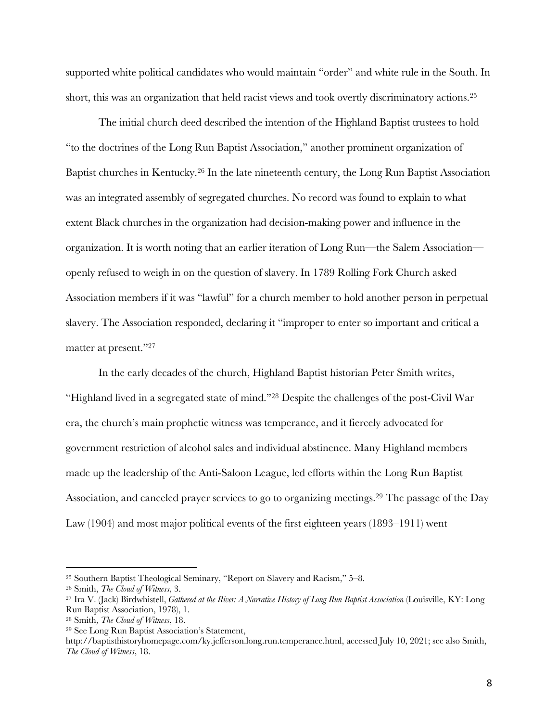supported white political candidates who would maintain "order" and white rule in the South. In short, this was an organization that held racist views and took overtly discriminatory actions.25

The initial church deed described the intention of the Highland Baptist trustees to hold "to the doctrines of the Long Run Baptist Association," another prominent organization of Baptist churches in Kentucky.26 In the late nineteenth century, the Long Run Baptist Association was an integrated assembly of segregated churches. No record was found to explain to what extent Black churches in the organization had decision-making power and influence in the organization. It is worth noting that an earlier iteration of Long Run—the Salem Association openly refused to weigh in on the question of slavery. In 1789 Rolling Fork Church asked Association members if it was "lawful" for a church member to hold another person in perpetual slavery. The Association responded, declaring it "improper to enter so important and critical a matter at present."27

In the early decades of the church, Highland Baptist historian Peter Smith writes, "Highland lived in a segregated state of mind."28 Despite the challenges of the post-Civil War era, the church's main prophetic witness was temperance, and it fiercely advocated for government restriction of alcohol sales and individual abstinence. Many Highland members made up the leadership of the Anti-Saloon League, led efforts within the Long Run Baptist Association, and canceled prayer services to go to organizing meetings.29 The passage of the Day Law (1904) and most major political events of the first eighteen years (1893–1911) went

<sup>25</sup> Southern Baptist Theological Seminary, "Report on Slavery and Racism," 5‒8.

<sup>26</sup> Smith, *The Cloud of Witness*, 3.

<sup>&</sup>lt;sup>27</sup> Ira V. (Jack) Birdwhistell, *Gathered at the River: A Narrative History of Long Run Baptist Association* (Louisville, KY: Long Run Baptist Association, 1978), 1.

<sup>28</sup> Smith, *The Cloud of Witness*, 18.

<sup>29</sup> See Long Run Baptist Association's Statement,

http://baptisthistoryhomepage.com/ky.jefferson.long.run.temperance.html, accessed July 10, 2021; see also Smith, *The Cloud of Witness*, 18.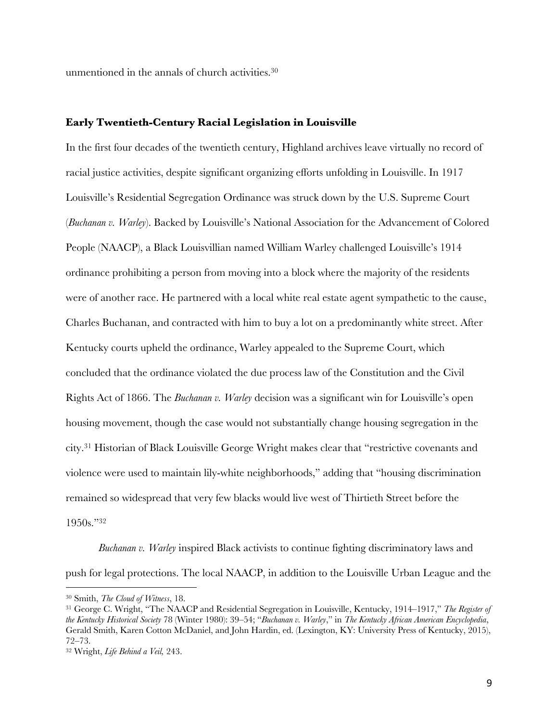unmentioned in the annals of church activities.30

## **Early Twentieth-Century Racial Legislation in Louisville**

In the first four decades of the twentieth century, Highland archives leave virtually no record of racial justice activities, despite significant organizing efforts unfolding in Louisville. In 1917 Louisville's Residential Segregation Ordinance was struck down by the U.S. Supreme Court (*Buchanan v. Warley*). Backed by Louisville's National Association for the Advancement of Colored People (NAACP), a Black Louisvillian named William Warley challenged Louisville's 1914 ordinance prohibiting a person from moving into a block where the majority of the residents were of another race. He partnered with a local white real estate agent sympathetic to the cause, Charles Buchanan, and contracted with him to buy a lot on a predominantly white street. After Kentucky courts upheld the ordinance, Warley appealed to the Supreme Court, which concluded that the ordinance violated the due process law of the Constitution and the Civil Rights Act of 1866. The *Buchanan v. Warley* decision was a significant win for Louisville's open housing movement, though the case would not substantially change housing segregation in the city.31 Historian of Black Louisville George Wright makes clear that "restrictive covenants and violence were used to maintain lily-white neighborhoods," adding that "housing discrimination remained so widespread that very few blacks would live west of Thirtieth Street before the 1950s."32

*Buchanan v. Warley* inspired Black activists to continue fighting discriminatory laws and push for legal protections. The local NAACP, in addition to the Louisville Urban League and the

<sup>30</sup> Smith, *The Cloud of Witness*, 18. 31 George C. Wright, "The NAACP and Residential Segregation in Louisville, Kentucky, 1914‒1917," *The Register of the Kentucky Historical Society* 78 (Winter 1980): 39‒54; "*Buchanan v. Warley*," in *The Kentucky African American Encyclopedia*, Gerald Smith, Karen Cotton McDaniel, and John Hardin, ed. (Lexington, KY: University Press of Kentucky, 2015), 72‒73.

<sup>32</sup> Wright, *Life Behind a Veil,* 243.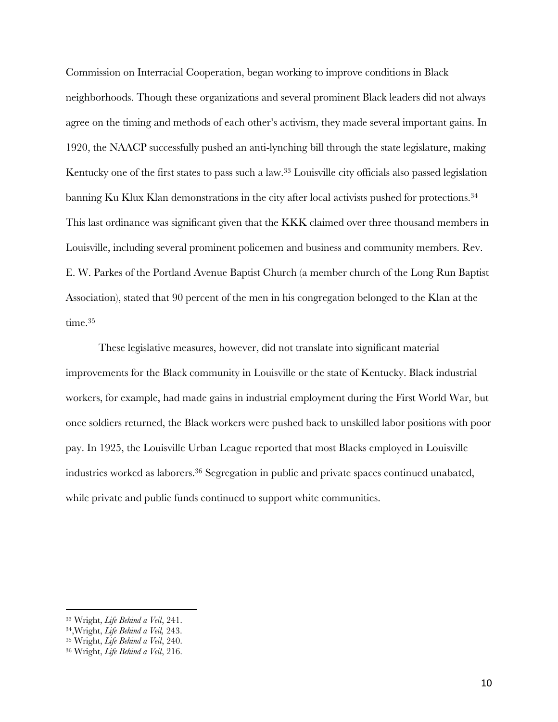Commission on Interracial Cooperation, began working to improve conditions in Black neighborhoods. Though these organizations and several prominent Black leaders did not always agree on the timing and methods of each other's activism, they made several important gains. In 1920, the NAACP successfully pushed an anti-lynching bill through the state legislature, making Kentucky one of the first states to pass such a law.33 Louisville city officials also passed legislation banning Ku Klux Klan demonstrations in the city after local activists pushed for protections.34 This last ordinance was significant given that the KKK claimed over three thousand members in Louisville, including several prominent policemen and business and community members. Rev. E. W. Parkes of the Portland Avenue Baptist Church (a member church of the Long Run Baptist Association), stated that 90 percent of the men in his congregation belonged to the Klan at the time.<sup>35</sup>

These legislative measures, however, did not translate into significant material improvements for the Black community in Louisville or the state of Kentucky. Black industrial workers, for example, had made gains in industrial employment during the First World War, but once soldiers returned, the Black workers were pushed back to unskilled labor positions with poor pay. In 1925, the Louisville Urban League reported that most Blacks employed in Louisville industries worked as laborers.36 Segregation in public and private spaces continued unabated, while private and public funds continued to support white communities.

<sup>33</sup> Wright, *Life Behind a Veil*, 241.

<sup>34,</sup>Wright, *Life Behind a Veil,* 243.

<sup>35</sup> Wright, *Life Behind a Veil*, 240.

<sup>36</sup> Wright, *Life Behind a Veil*, 216.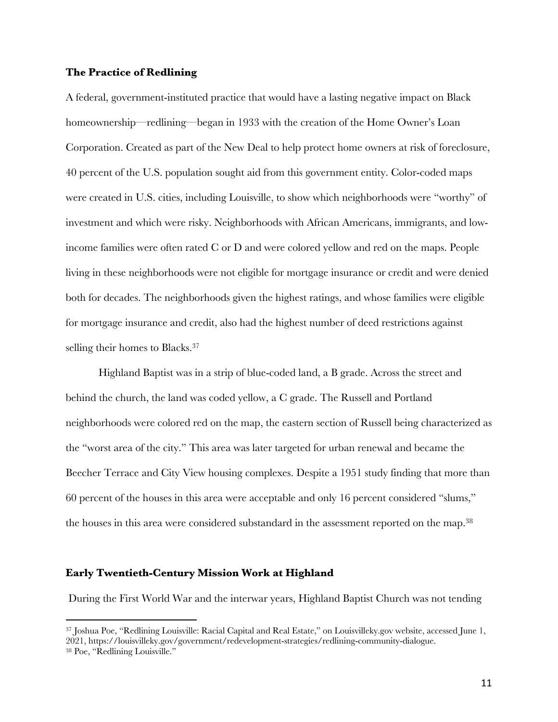## **The Practice of Redlining**

A federal, government-instituted practice that would have a lasting negative impact on Black homeownership—redlining—began in 1933 with the creation of the Home Owner's Loan Corporation. Created as part of the New Deal to help protect home owners at risk of foreclosure, 40 percent of the U.S. population sought aid from this government entity. Color-coded maps were created in U.S. cities, including Louisville, to show which neighborhoods were "worthy" of investment and which were risky. Neighborhoods with African Americans, immigrants, and lowincome families were often rated C or D and were colored yellow and red on the maps. People living in these neighborhoods were not eligible for mortgage insurance or credit and were denied both for decades. The neighborhoods given the highest ratings, and whose families were eligible for mortgage insurance and credit, also had the highest number of deed restrictions against selling their homes to Blacks.<sup>37</sup>

Highland Baptist was in a strip of blue-coded land, a B grade. Across the street and behind the church, the land was coded yellow, a C grade. The Russell and Portland neighborhoods were colored red on the map, the eastern section of Russell being characterized as the "worst area of the city." This area was later targeted for urban renewal and became the Beecher Terrace and City View housing complexes. Despite a 1951 study finding that more than 60 percent of the houses in this area were acceptable and only 16 percent considered "slums," the houses in this area were considered substandard in the assessment reported on the map.38

#### **Early Twentieth-Century Mission Work at Highland**

During the First World War and the interwar years, Highland Baptist Church was not tending

<sup>37</sup> Joshua Poe, "Redlining Louisville: Racial Capital and Real Estate," on Louisvilleky.gov website, accessed June 1, 2021, https://louisvilleky.gov/government/redevelopment-strategies/redlining-community-dialogue. <sup>38</sup> Poe, "Redlining Louisville."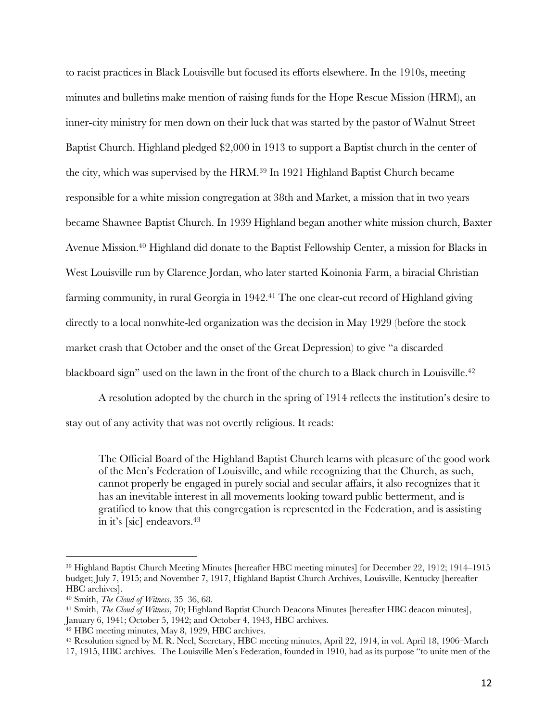to racist practices in Black Louisville but focused its efforts elsewhere. In the 1910s, meeting minutes and bulletins make mention of raising funds for the Hope Rescue Mission (HRM), an inner-city ministry for men down on their luck that was started by the pastor of Walnut Street Baptist Church. Highland pledged \$2,000 in 1913 to support a Baptist church in the center of the city, which was supervised by the HRM.39 In 1921 Highland Baptist Church became responsible for a white mission congregation at 38th and Market, a mission that in two years became Shawnee Baptist Church. In 1939 Highland began another white mission church, Baxter Avenue Mission.40 Highland did donate to the Baptist Fellowship Center, a mission for Blacks in West Louisville run by Clarence Jordan, who later started Koinonia Farm, a biracial Christian farming community, in rural Georgia in 1942.<sup>41</sup> The one clear-cut record of Highland giving directly to a local nonwhite-led organization was the decision in May 1929 (before the stock market crash that October and the onset of the Great Depression) to give "a discarded blackboard sign" used on the lawn in the front of the church to a Black church in Louisville.<sup>42</sup>

A resolution adopted by the church in the spring of 1914 reflects the institution's desire to stay out of any activity that was not overtly religious. It reads:

The Official Board of the Highland Baptist Church learns with pleasure of the good work of the Men's Federation of Louisville, and while recognizing that the Church, as such, cannot properly be engaged in purely social and secular affairs, it also recognizes that it has an inevitable interest in all movements looking toward public betterment, and is gratified to know that this congregation is represented in the Federation, and is assisting in it's [sic] endeavors.<sup>43</sup>

<sup>39</sup> Highland Baptist Church Meeting Minutes [hereafter HBC meeting minutes] for December 22, 1912; 1914‒1915 budget; July 7, 1915; and November 7, 1917, Highland Baptist Church Archives, Louisville, Kentucky [hereafter HBC archives].

<sup>40</sup> Smith, *The Cloud of Witness*, 35‒36, 68.

<sup>41</sup> Smith, *The Cloud of Witness*, 70; Highland Baptist Church Deacons Minutes [hereafter HBC deacon minutes], January 6, 1941; October 5, 1942; and October 4, 1943, HBC archives.

<sup>42</sup> HBC meeting minutes, May 8, 1929, HBC archives. 43 Resolution signed by M. R. Neel, Secretary, HBC meeting minutes, April 22, 1914, in vol. April 18, 1906–March 17, 1915, HBC archives. The Louisville Men's Federation, founded in 1910, had as its purpose "to unite men of the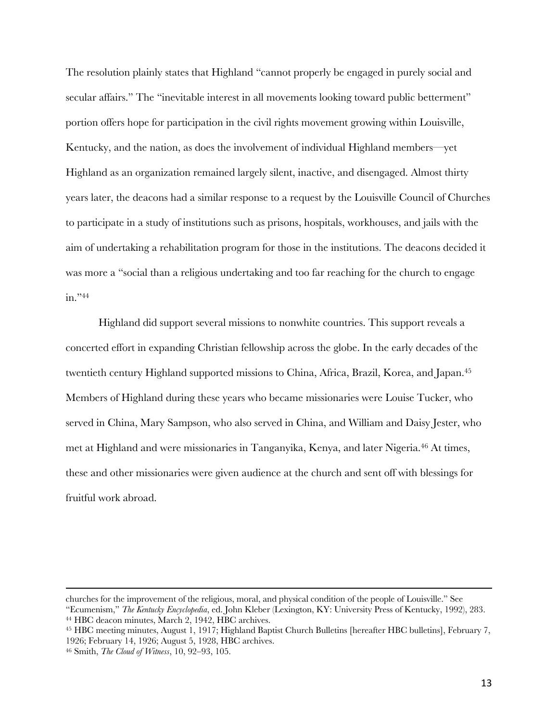The resolution plainly states that Highland "cannot properly be engaged in purely social and secular affairs." The "inevitable interest in all movements looking toward public betterment" portion offers hope for participation in the civil rights movement growing within Louisville, Kentucky, and the nation, as does the involvement of individual Highland members—yet Highland as an organization remained largely silent, inactive, and disengaged. Almost thirty years later, the deacons had a similar response to a request by the Louisville Council of Churches to participate in a study of institutions such as prisons, hospitals, workhouses, and jails with the aim of undertaking a rehabilitation program for those in the institutions. The deacons decided it was more a "social than a religious undertaking and too far reaching for the church to engage in."44

Highland did support several missions to nonwhite countries. This support reveals a concerted effort in expanding Christian fellowship across the globe. In the early decades of the twentieth century Highland supported missions to China, Africa, Brazil, Korea, and Japan.45 Members of Highland during these years who became missionaries were Louise Tucker, who served in China, Mary Sampson, who also served in China, and William and Daisy Jester, who met at Highland and were missionaries in Tanganyika, Kenya, and later Nigeria.46 At times, these and other missionaries were given audience at the church and sent off with blessings for fruitful work abroad.

churches for the improvement of the religious, moral, and physical condition of the people of Louisville." See "Ecumenism," *The Kentucky Encyclopedia*, ed. John Kleber (Lexington, KY: University Press of Kentucky, 1992), 283. <sup>44</sup> HBC deacon minutes, March 2, 1942, HBC archives.

<sup>45</sup> HBC meeting minutes, August 1, 1917; Highland Baptist Church Bulletins [hereafter HBC bulletins], February 7, 1926; February 14, 1926; August 5, 1928, HBC archives.

<sup>46</sup> Smith, *The Cloud of Witness*, 10, 92‒93, 105.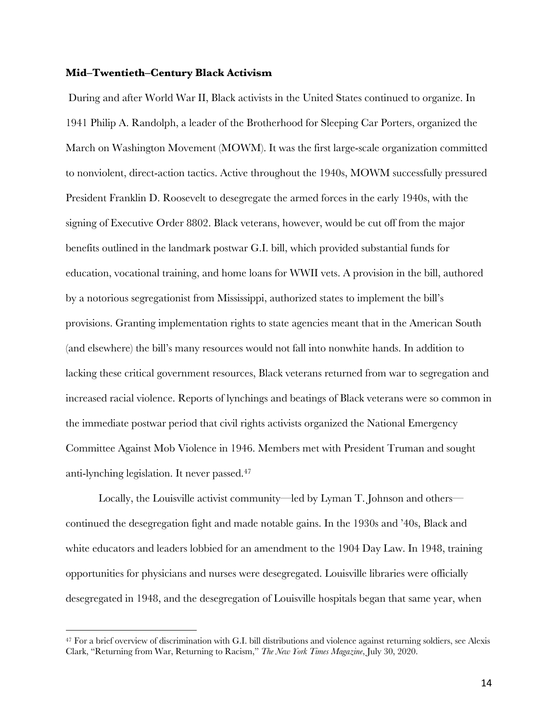## **Mid‒Twentieth‒Century Black Activism**

During and after World War II, Black activists in the United States continued to organize. In 1941 Philip A. Randolph, a leader of the Brotherhood for Sleeping Car Porters, organized the March on Washington Movement (MOWM). It was the first large-scale organization committed to nonviolent, direct-action tactics. Active throughout the 1940s, MOWM successfully pressured President Franklin D. Roosevelt to desegregate the armed forces in the early 1940s, with the signing of Executive Order 8802. Black veterans, however, would be cut off from the major benefits outlined in the landmark postwar G.I. bill, which provided substantial funds for education, vocational training, and home loans for WWII vets. A provision in the bill, authored by a notorious segregationist from Mississippi, authorized states to implement the bill's provisions. Granting implementation rights to state agencies meant that in the American South (and elsewhere) the bill's many resources would not fall into nonwhite hands. In addition to lacking these critical government resources, Black veterans returned from war to segregation and increased racial violence. Reports of lynchings and beatings of Black veterans were so common in the immediate postwar period that civil rights activists organized the National Emergency Committee Against Mob Violence in 1946. Members met with President Truman and sought anti-lynching legislation. It never passed.47

Locally, the Louisville activist community—led by Lyman T. Johnson and others continued the desegregation fight and made notable gains. In the 1930s and '40s, Black and white educators and leaders lobbied for an amendment to the 1904 Day Law. In 1948, training opportunities for physicians and nurses were desegregated. Louisville libraries were officially desegregated in 1948, and the desegregation of Louisville hospitals began that same year, when

<sup>47</sup> For a brief overview of discrimination with G.I. bill distributions and violence against returning soldiers, see Alexis Clark, "Returning from War, Returning to Racism," *The New York Times Magazine*, July 30, 2020.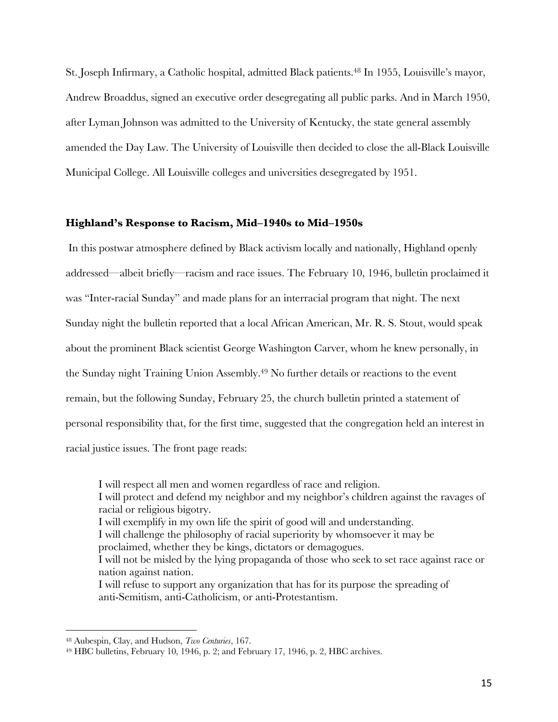St. Joseph Infirmary, a Catholic hospital, admitted Black patients.<sup>48</sup> In 1955, Louisville's mayor, Andrew Broaddus, signed an executive order desegregating all public parks. And in March 1950, after Lyman Johnson was admitted to the University of Kentucky, the state general assembly amended the Day Law. The University of Louisville then decided to close the all-Black Louisville Municipal College. All Louisville colleges and universities desegregated by 1951.

## **Highland's Response to Racism, Mid‒1940s to Mid‒1950s**

In this postwar atmosphere defined by Black activism locally and nationally, Highland openly addressed—albeit briefly—racism and race issues. The February 10, 1946, bulletin proclaimed it was "Inter-racial Sunday" and made plans for an interracial program that night. The next Sunday night the bulletin reported that a local African American, Mr. R. S. Stout, would speak about the prominent Black scientist George Washington Carver, whom he knew personally, in the Sunday night Training Union Assembly.49 No further details or reactions to the event remain, but the following Sunday, February 25, the church bulletin printed a statement of personal responsibility that, for the first time, suggested that the congregation held an interest in racial justice issues. The front page reads:

I will respect all men and women regardless of race and religion. I will protect and defend my neighbor and my neighbor's children against the ravages of racial or religious bigotry. I will exemplify in my own life the spirit of good will and understanding. I will challenge the philosophy of racial superiority by whomsoever it may be proclaimed, whether they be kings, dictators or demagogues. I will not be misled by the lying propaganda of those who seek to set race against race or nation against nation. I will refuse to support any organization that has for its purpose the spreading of anti-Semitism, anti-Catholicism, or anti-Protestantism.

<sup>48</sup> Aubespin, Clay, and Hudson, *Two Centuries*, 167.

<sup>49</sup> HBC bulletins, February 10, 1946, p. 2; and February 17, 1946, p. 2, HBC archives.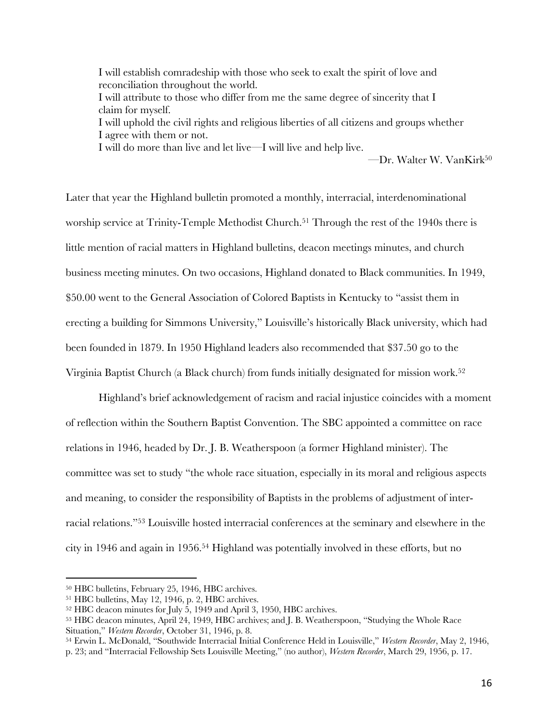I will establish comradeship with those who seek to exalt the spirit of love and reconciliation throughout the world. I will attribute to those who differ from me the same degree of sincerity that I claim for myself. I will uphold the civil rights and religious liberties of all citizens and groups whether I agree with them or not. I will do more than live and let live—I will live and help live.

—Dr. Walter W. VanKirk50

Later that year the Highland bulletin promoted a monthly, interracial, interdenominational worship service at Trinity-Temple Methodist Church.<sup>51</sup> Through the rest of the 1940s there is little mention of racial matters in Highland bulletins, deacon meetings minutes, and church business meeting minutes. On two occasions, Highland donated to Black communities. In 1949, \$50.00 went to the General Association of Colored Baptists in Kentucky to "assist them in erecting a building for Simmons University," Louisville's historically Black university, which had been founded in 1879. In 1950 Highland leaders also recommended that \$37.50 go to the Virginia Baptist Church (a Black church) from funds initially designated for mission work.52

Highland's brief acknowledgement of racism and racial injustice coincides with a moment of reflection within the Southern Baptist Convention. The SBC appointed a committee on race relations in 1946, headed by Dr. J. B. Weatherspoon (a former Highland minister). The committee was set to study "the whole race situation, especially in its moral and religious aspects and meaning, to consider the responsibility of Baptists in the problems of adjustment of interracial relations."53 Louisville hosted interracial conferences at the seminary and elsewhere in the city in 1946 and again in 1956.54 Highland was potentially involved in these efforts, but no

<sup>&</sup>lt;sup>50</sup> HBC bulletins, February 25, 1946, HBC archives.<br><sup>51</sup> HBC bulletins, May 12, 1946, p. 2, HBC archives.

<sup>52</sup> HBC deacon minutes for July 5, 1949 and April 3, 1950, HBC archives.

<sup>53</sup> HBC deacon minutes, April 24, 1949, HBC archives; and J. B. Weatherspoon, "Studying the Whole Race Situation," *Western Recorder*, October 31, 1946, p. 8.

<sup>54</sup> Erwin L. McDonald, "Southwide Interracial Initial Conference Held in Louisville," *Western Recorder*, May 2, 1946,

p. 23; and "Interracial Fellowship Sets Louisville Meeting," (no author), *Western Recorder*, March 29, 1956, p. 17.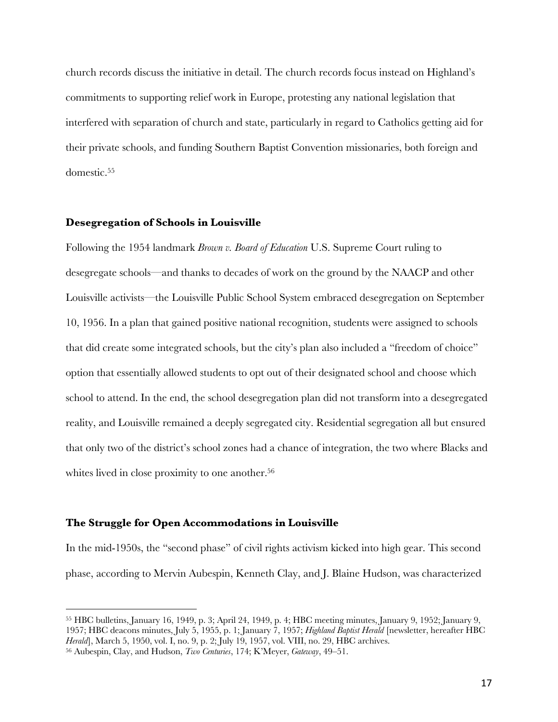church records discuss the initiative in detail. The church records focus instead on Highland's commitments to supporting relief work in Europe, protesting any national legislation that interfered with separation of church and state, particularly in regard to Catholics getting aid for their private schools, and funding Southern Baptist Convention missionaries, both foreign and domestic.55

## **Desegregation of Schools in Louisville**

Following the 1954 landmark *Brown v. Board of Education* U.S. Supreme Court ruling to desegregate schools—and thanks to decades of work on the ground by the NAACP and other Louisville activists—the Louisville Public School System embraced desegregation on September 10, 1956. In a plan that gained positive national recognition, students were assigned to schools that did create some integrated schools, but the city's plan also included a "freedom of choice" option that essentially allowed students to opt out of their designated school and choose which school to attend. In the end, the school desegregation plan did not transform into a desegregated reality, and Louisville remained a deeply segregated city. Residential segregation all but ensured that only two of the district's school zones had a chance of integration, the two where Blacks and whites lived in close proximity to one another.<sup>56</sup>

## **The Struggle for Open Accommodations in Louisville**

In the mid-1950s, the "second phase" of civil rights activism kicked into high gear. This second phase, according to Mervin Aubespin, Kenneth Clay, and J. Blaine Hudson, was characterized

<sup>55</sup> HBC bulletins, January 16, 1949, p. 3; April 24, 1949, p. 4; HBC meeting minutes, January 9, 1952; January 9, 1957; HBC deacons minutes, July 5, 1955, p. 1; January 7, 1957; *Highland Baptist Herald* [newsletter, hereafter HBC Herald], March 5, 1950, vol. I, no. 9, p. 2; July 19, 1957, vol. VIII, no. 29, HBC archives.

<sup>56</sup> Aubespin, Clay, and Hudson, *Two Centuries*, 174; K'Meyer, *Gateway*, 49‒51.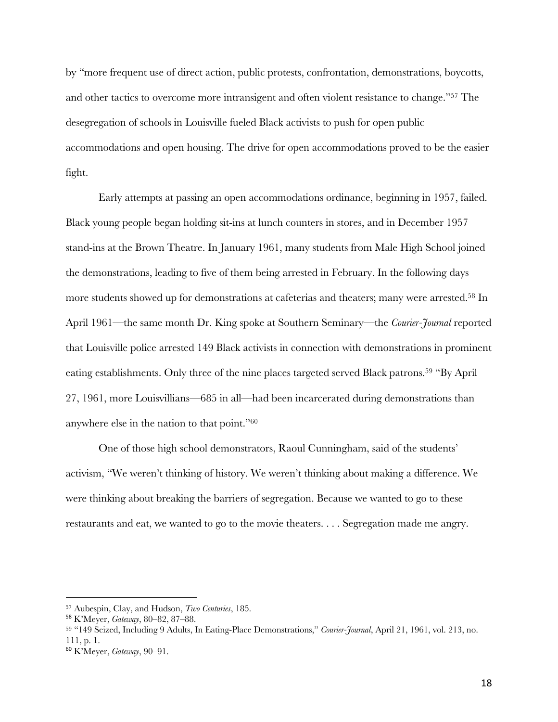by "more frequent use of direct action, public protests, confrontation, demonstrations, boycotts, and other tactics to overcome more intransigent and often violent resistance to change."57 The desegregation of schools in Louisville fueled Black activists to push for open public accommodations and open housing. The drive for open accommodations proved to be the easier fight.

Early attempts at passing an open accommodations ordinance, beginning in 1957, failed. Black young people began holding sit-ins at lunch counters in stores, and in December 1957 stand-ins at the Brown Theatre. In January 1961, many students from Male High School joined the demonstrations, leading to five of them being arrested in February. In the following days more students showed up for demonstrations at cafeterias and theaters; many were arrested.58 In April 1961—the same month Dr. King spoke at Southern Seminary—the *Courier-Journal* reported that Louisville police arrested 149 Black activists in connection with demonstrations in prominent eating establishments. Only three of the nine places targeted served Black patrons.59 "By April 27, 1961, more Louisvillians—685 in all—had been incarcerated during demonstrations than anywhere else in the nation to that point."60

One of those high school demonstrators, Raoul Cunningham, said of the students' activism, "We weren't thinking of history. We weren't thinking about making a difference. We were thinking about breaking the barriers of segregation. Because we wanted to go to these restaurants and eat, we wanted to go to the movie theaters. . . . Segregation made me angry.

<sup>57</sup> Aubespin, Clay, and Hudson, *Two Centuries*, 185.

<sup>58</sup> K'Meyer, *Gateway*, 80‒82, 87‒88. 59 "149 Seized, Including 9 Adults, In Eating-Place Demonstrations," *Courier-Journal*, April 21, 1961, vol. 213, no. 111, p. 1.

<sup>60</sup> K'Meyer, *Gateway*, 90‒91.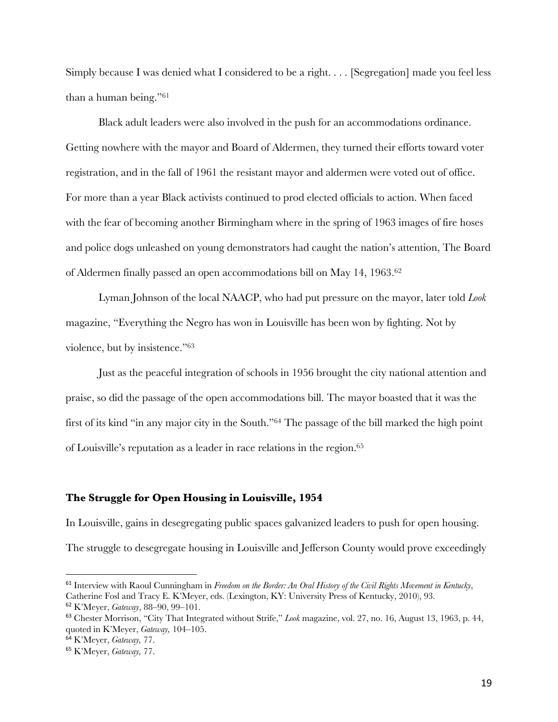Simply because I was denied what I considered to be a right. . . . [Segregation] made you feel less than a human being."61

Black adult leaders were also involved in the push for an accommodations ordinance. Getting nowhere with the mayor and Board of Aldermen, they turned their efforts toward voter registration, and in the fall of 1961 the resistant mayor and aldermen were voted out of office. For more than a year Black activists continued to prod elected officials to action. When faced with the fear of becoming another Birmingham where in the spring of 1963 images of fire hoses and police dogs unleashed on young demonstrators had caught the nation's attention, The Board of Aldermen finally passed an open accommodations bill on May 14, 1963.62

Lyman Johnson of the local NAACP, who had put pressure on the mayor, later told *Look* magazine, "Everything the Negro has won in Louisville has been won by fighting. Not by violence, but by insistence."63

Just as the peaceful integration of schools in 1956 brought the city national attention and praise, so did the passage of the open accommodations bill. The mayor boasted that it was the first of its kind "in any major city in the South."64 The passage of the bill marked the high point of Louisville's reputation as a leader in race relations in the region.65

## **The Struggle for Open Housing in Louisville, 1954**

In Louisville, gains in desegregating public spaces galvanized leaders to push for open housing. The struggle to desegregate housing in Louisville and Jefferson County would prove exceedingly

<sup>61</sup> Interview with Raoul Cunningham in *Freedom on the Border: An Oral History of the Civil Rights Movement in Kentucky*, Catherine Fosl and Tracy E. K'Meyer, eds. (Lexington, KY: University Press of Kentucky, 2010), 93.

<sup>62</sup> K'Meyer, *Gateway*, 88‒90, 99‒101.

<sup>63</sup> Chester Morrison, "City That Integrated without Strife," *Look* magazine, vol. 27, no. 16, August 13, 1963, p. 44, quoted in K'Meyer, *Gateway*, 104–105.

<sup>64</sup> K'Meyer, *Gateway,* 77.

<sup>65</sup> K'Meyer, *Gateway,* 77.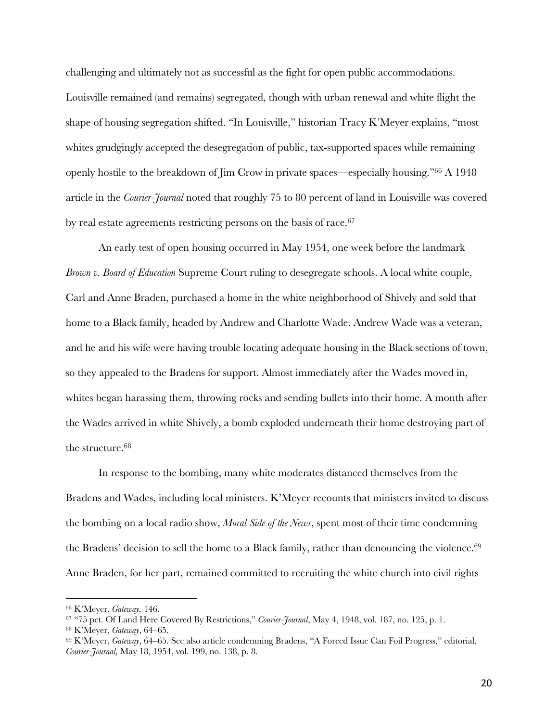challenging and ultimately not as successful as the fight for open public accommodations. Louisville remained (and remains) segregated, though with urban renewal and white flight the shape of housing segregation shifted. "In Louisville," historian Tracy K'Meyer explains, "most whites grudgingly accepted the desegregation of public, tax-supported spaces while remaining openly hostile to the breakdown of Jim Crow in private spaces—especially housing."66 A 1948 article in the *Courier-Journal* noted that roughly 75 to 80 percent of land in Louisville was covered by real estate agreements restricting persons on the basis of race.<sup>67</sup>

An early test of open housing occurred in May 1954, one week before the landmark *Brown v. Board of Education* Supreme Court ruling to desegregate schools. A local white couple, Carl and Anne Braden, purchased a home in the white neighborhood of Shively and sold that home to a Black family, headed by Andrew and Charlotte Wade. Andrew Wade was a veteran, and he and his wife were having trouble locating adequate housing in the Black sections of town, so they appealed to the Bradens for support. Almost immediately after the Wades moved in, whites began harassing them, throwing rocks and sending bullets into their home. A month after the Wades arrived in white Shively, a bomb exploded underneath their home destroying part of the structure.<sup>68</sup>

In response to the bombing, many white moderates distanced themselves from the Bradens and Wades, including local ministers. K'Meyer recounts that ministers invited to discuss the bombing on a local radio show, *Moral Side of the News*, spent most of their time condemning the Bradens' decision to sell the home to a Black family, rather than denouncing the violence.<sup>69</sup> Anne Braden, for her part, remained committed to recruiting the white church into civil rights

<sup>66</sup> K'Meyer, *Gateway,* 146.

<sup>67</sup> "75 pct. Of Land Here Covered By Restrictions," *Courier-Journal*, May 4, 1948, vol. 187, no. 125, p. 1.

<sup>68</sup> K'Meyer, *Gateway*, 64‒65.

<sup>69</sup> K'Meyer, *Gateway*, 64‒65. See also article condemning Bradens, "A Forced Issue Can Foil Progress," editorial, *Courier-Journal,* May 18, 1954, vol. 199, no. 138, p. 8.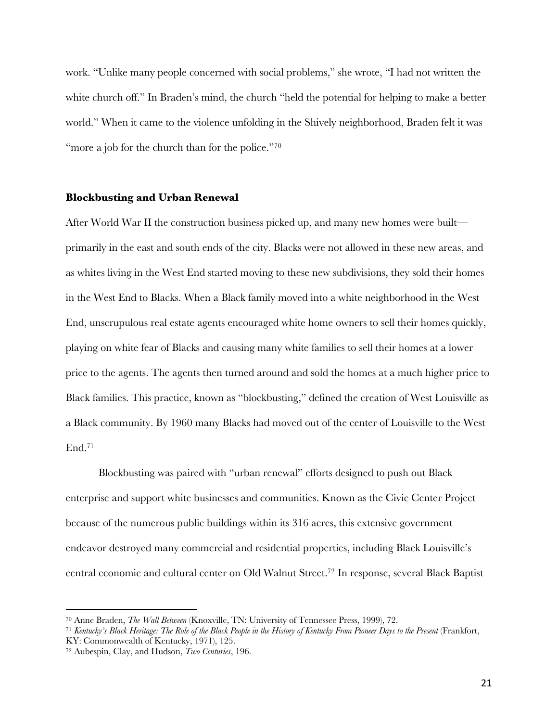work. "Unlike many people concerned with social problems," she wrote, "I had not written the white church off." In Braden's mind, the church "held the potential for helping to make a better world." When it came to the violence unfolding in the Shively neighborhood, Braden felt it was "more a job for the church than for the police."<sup>70</sup>

#### **Blockbusting and Urban Renewal**

After World War II the construction business picked up, and many new homes were built primarily in the east and south ends of the city. Blacks were not allowed in these new areas, and as whites living in the West End started moving to these new subdivisions, they sold their homes in the West End to Blacks. When a Black family moved into a white neighborhood in the West End, unscrupulous real estate agents encouraged white home owners to sell their homes quickly, playing on white fear of Blacks and causing many white families to sell their homes at a lower price to the agents. The agents then turned around and sold the homes at a much higher price to Black families. This practice, known as "blockbusting," defined the creation of West Louisville as a Black community. By 1960 many Blacks had moved out of the center of Louisville to the West End.71

Blockbusting was paired with "urban renewal" efforts designed to push out Black enterprise and support white businesses and communities. Known as the Civic Center Project because of the numerous public buildings within its 316 acres, this extensive government endeavor destroyed many commercial and residential properties, including Black Louisville's central economic and cultural center on Old Walnut Street.72 In response, several Black Baptist

<sup>70</sup> Anne Braden, *The Wall Between* (Knoxville, TN: University of Tennessee Press, 1999), 72.

<sup>71</sup> *Kentucky's Black Heritage: The Role of the Black People in the History of Kentucky From Pioneer Days to the Present* (Frankfort, KY: Commonwealth of Kentucky, 1971), 125. 72 Aubespin, Clay, and Hudson, *Two Centuries*, 196.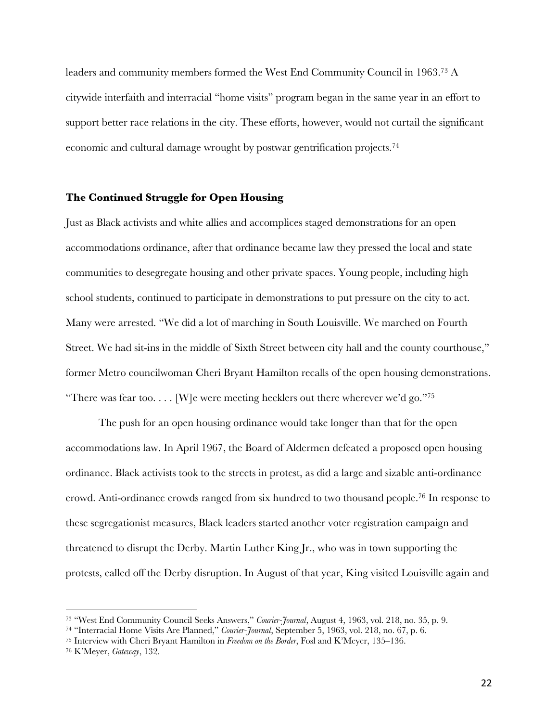leaders and community members formed the West End Community Council in 1963.73 A citywide interfaith and interracial "home visits" program began in the same year in an effort to support better race relations in the city. These efforts, however, would not curtail the significant economic and cultural damage wrought by postwar gentrification projects.74

## **The Continued Struggle for Open Housing**

Just as Black activists and white allies and accomplices staged demonstrations for an open accommodations ordinance, after that ordinance became law they pressed the local and state communities to desegregate housing and other private spaces. Young people, including high school students, continued to participate in demonstrations to put pressure on the city to act. Many were arrested. "We did a lot of marching in South Louisville. We marched on Fourth Street. We had sit-ins in the middle of Sixth Street between city hall and the county courthouse," former Metro councilwoman Cheri Bryant Hamilton recalls of the open housing demonstrations. "There was fear too.... [W]e were meeting hecklers out there wherever we'd go."<sup>75</sup>

The push for an open housing ordinance would take longer than that for the open accommodations law. In April 1967, the Board of Aldermen defeated a proposed open housing ordinance. Black activists took to the streets in protest, as did a large and sizable anti-ordinance crowd. Anti-ordinance crowds ranged from six hundred to two thousand people.76 In response to these segregationist measures, Black leaders started another voter registration campaign and threatened to disrupt the Derby. Martin Luther King Jr., who was in town supporting the protests, called off the Derby disruption. In August of that year, King visited Louisville again and

<sup>73</sup> "West End Community Council Seeks Answers," *Courier-Journal*, August 4, 1963, vol. 218, no. 35, p. 9.

<sup>74</sup> "Interracial Home Visits Are Planned," *Courier-Journal*, September 5, 1963, vol. 218, no. 67, p. 6.

<sup>&</sup>lt;sup>75</sup> Interview with Cheri Bryant Hamilton in *Freedom on the Border*, Fosl and K'Meyer, 135–136.

<sup>76</sup> K'Meyer, *Gateway*, 132.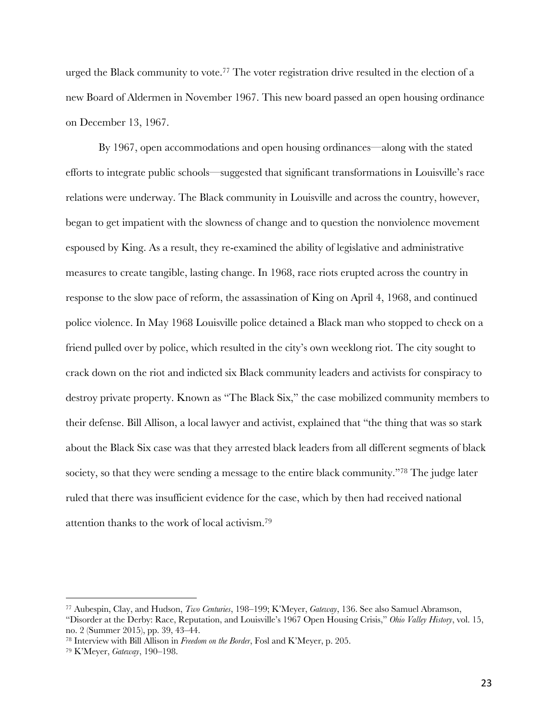urged the Black community to vote.77 The voter registration drive resulted in the election of a new Board of Aldermen in November 1967. This new board passed an open housing ordinance on December 13, 1967.

By 1967, open accommodations and open housing ordinances—along with the stated efforts to integrate public schools—suggested that significant transformations in Louisville's race relations were underway. The Black community in Louisville and across the country, however, began to get impatient with the slowness of change and to question the nonviolence movement espoused by King. As a result, they re-examined the ability of legislative and administrative measures to create tangible, lasting change. In 1968, race riots erupted across the country in response to the slow pace of reform, the assassination of King on April 4, 1968, and continued police violence. In May 1968 Louisville police detained a Black man who stopped to check on a friend pulled over by police, which resulted in the city's own weeklong riot. The city sought to crack down on the riot and indicted six Black community leaders and activists for conspiracy to destroy private property. Known as "The Black Six," the case mobilized community members to their defense. Bill Allison, a local lawyer and activist, explained that "the thing that was so stark about the Black Six case was that they arrested black leaders from all different segments of black society, so that they were sending a message to the entire black community."<sup>78</sup> The judge later ruled that there was insufficient evidence for the case, which by then had received national attention thanks to the work of local activism.79

<sup>77</sup> Aubespin, Clay, and Hudson, *Two Centuries*, 198‒199; K'Meyer, *Gateway*, 136. See also Samuel Abramson,

<sup>&</sup>quot;Disorder at the Derby: Race, Reputation, and Louisville's 1967 Open Housing Crisis," *Ohio Valley History*, vol. 15, no. 2 (Summer 2015), pp. 39, 43–44.<br><sup>78</sup> Interview with Bill Allison in *Freedom on the Border*, Fosl and K'Meyer, p. 205.

<sup>79</sup> K'Meyer, *Gateway*, 190‒198.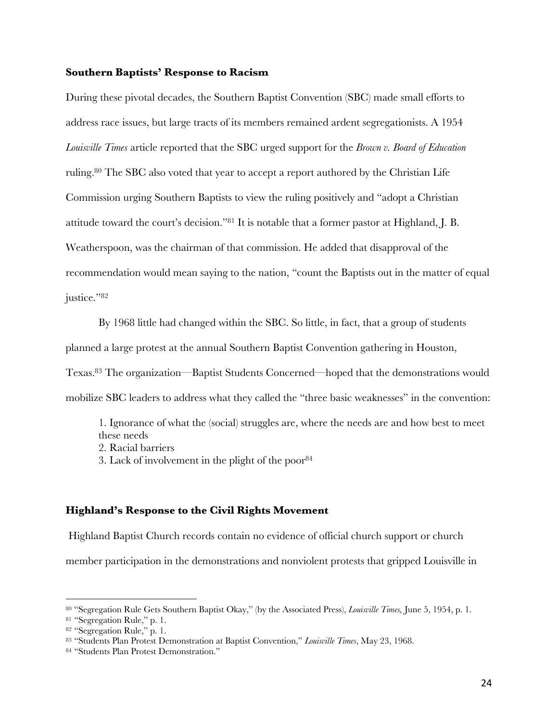## **Southern Baptists' Response to Racism**

During these pivotal decades, the Southern Baptist Convention (SBC) made small efforts to address race issues, but large tracts of its members remained ardent segregationists. A 1954 *Louisville Times* article reported that the SBC urged support for the *Brown v. Board of Education* ruling.80 The SBC also voted that year to accept a report authored by the Christian Life Commission urging Southern Baptists to view the ruling positively and "adopt a Christian attitude toward the court's decision."81 It is notable that a former pastor at Highland, J. B. Weatherspoon, was the chairman of that commission. He added that disapproval of the recommendation would mean saying to the nation, "count the Baptists out in the matter of equal justice."82

By 1968 little had changed within the SBC. So little, in fact, that a group of students planned a large protest at the annual Southern Baptist Convention gathering in Houston, Texas.83 The organization—Baptist Students Concerned—hoped that the demonstrations would

mobilize SBC leaders to address what they called the "three basic weaknesses" in the convention:

1. Ignorance of what the (social) struggles are, where the needs are and how best to meet these needs 2. Racial barriers 3. Lack of involvement in the plight of the poor  $84$ 

## **Highland's Response to the Civil Rights Movement**

Highland Baptist Church records contain no evidence of official church support or church member participation in the demonstrations and nonviolent protests that gripped Louisville in

<sup>80</sup> "Segregation Rule Gets Southern Baptist Okay," (by the Associated Press), *Louisville Times,* June 5, 1954, p. 1.

<sup>81</sup> "Segregation Rule," p. 1.

<sup>82</sup> "Segregation Rule," p. 1.

<sup>83</sup> "Students Plan Protest Demonstration at Baptist Convention," *Louisville Times*, May 23, 1968. 84 "Students Plan Protest Demonstration."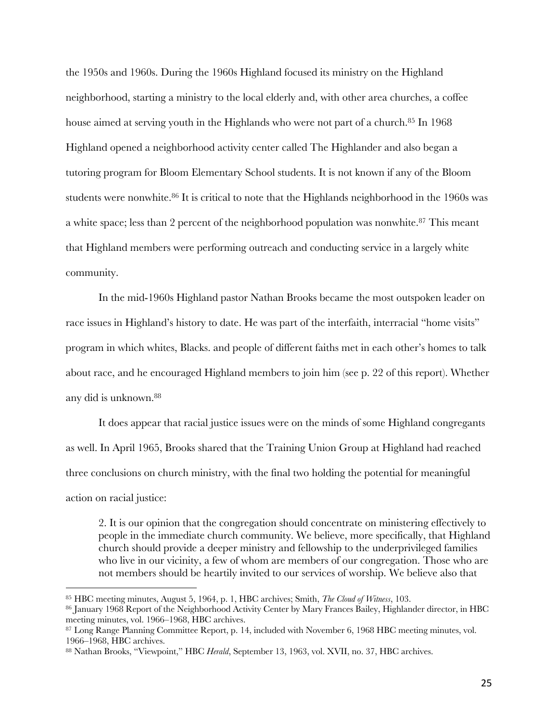the 1950s and 1960s. During the 1960s Highland focused its ministry on the Highland neighborhood, starting a ministry to the local elderly and, with other area churches, a coffee house aimed at serving youth in the Highlands who were not part of a church.<sup>85</sup> In 1968 Highland opened a neighborhood activity center called The Highlander and also began a tutoring program for Bloom Elementary School students. It is not known if any of the Bloom students were nonwhite.<sup>86</sup> It is critical to note that the Highlands neighborhood in the 1960s was a white space; less than 2 percent of the neighborhood population was nonwhite.<sup>87</sup> This meant that Highland members were performing outreach and conducting service in a largely white community.

In the mid-1960s Highland pastor Nathan Brooks became the most outspoken leader on race issues in Highland's history to date. He was part of the interfaith, interracial "home visits" program in which whites, Blacks. and people of different faiths met in each other's homes to talk about race, and he encouraged Highland members to join him (see p. 22 of this report). Whether any did is unknown.88

It does appear that racial justice issues were on the minds of some Highland congregants as well. In April 1965, Brooks shared that the Training Union Group at Highland had reached three conclusions on church ministry, with the final two holding the potential for meaningful action on racial justice:

2. It is our opinion that the congregation should concentrate on ministering effectively to people in the immediate church community. We believe, more specifically, that Highland church should provide a deeper ministry and fellowship to the underprivileged families who live in our vicinity, a few of whom are members of our congregation. Those who are not members should be heartily invited to our services of worship. We believe also that

<sup>85</sup> HBC meeting minutes, August 5, 1964, p. 1, HBC archives; Smith, *The Cloud of Witness*, 103.

<sup>86</sup> January 1968 Report of the Neighborhood Activity Center by Mary Frances Bailey, Highlander director, in HBC meeting minutes, vol. 1966–1968, HBC archives.

<sup>87</sup> Long Range Planning Committee Report, p. 14, included with November 6, 1968 HBC meeting minutes, vol. 1966‒1968, HBC archives.

<sup>88</sup> Nathan Brooks, "Viewpoint," HBC *Herald*, September 13, 1963, vol. XVII, no. 37, HBC archives.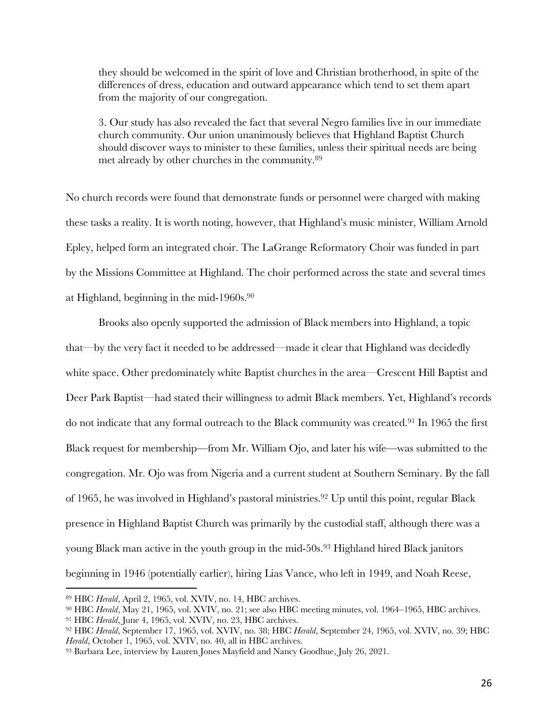they should be welcomed in the spirit of love and Christian brotherhood, in spite of the differences of dress, education and outward appearance which tend to set them apart from the majority of our congregation.

3. Our study has also revealed the fact that several Negro families live in our immediate church community. Our union unanimously believes that Highland Baptist Church should discover ways to minister to these families, unless their spiritual needs are being met already by other churches in the community.89

No church records were found that demonstrate funds or personnel were charged with making these tasks a reality. It is worth noting, however, that Highland's music minister, William Arnold Epley, helped form an integrated choir. The LaGrange Reformatory Choir was funded in part by the Missions Committee at Highland. The choir performed across the state and several times at Highland, beginning in the mid-1960s.90

Brooks also openly supported the admission of Black members into Highland, a topic that—by the very fact it needed to be addressed—made it clear that Highland was decidedly white space. Other predominately white Baptist churches in the area—Crescent Hill Baptist and Deer Park Baptist—had stated their willingness to admit Black members. Yet, Highland's records do not indicate that any formal outreach to the Black community was created. <sup>91</sup> In 1965 the first Black request for membership—from Mr. William Ojo, and later his wife—was submitted to the congregation. Mr. Ojo was from Nigeria and a current student at Southern Seminary. By the fall of 1965, he was involved in Highland's pastoral ministries.92 Up until this point, regular Black presence in Highland Baptist Church was primarily by the custodial staff, although there was a young Black man active in the youth group in the mid-50s.<sup>93</sup> Highland hired Black janitors beginning in 1946 (potentially earlier), hiring Lias Vance, who left in 1949, and Noah Reese,

<sup>89</sup> HBC *Herald*, April 2, 1965, vol. XVIV, no. 14, HBC archives.

<sup>90</sup> HBC *Herald*, May 21, 1965, vol. XVIV, no. 21; see also HBC meeting minutes, vol. 1964–1965, HBC archives.

<sup>91</sup> HBC *Herald*, June 4, 1965, vol. XVIV, no. 23, HBC archives.

<sup>92</sup> HBC *Herald*, September 17, 1965, vol. XVIV, no. 38; HBC *Herald*, September 24, 1965, vol. XVIV, no. 39; HBC *Herald*, October 1, 1965, vol. XVIV, no. 40, all in HBC archives.

<sup>93</sup> Barbara Lee, interview by Lauren Jones Mayfield and Nancy Goodhue, July 26, 2021.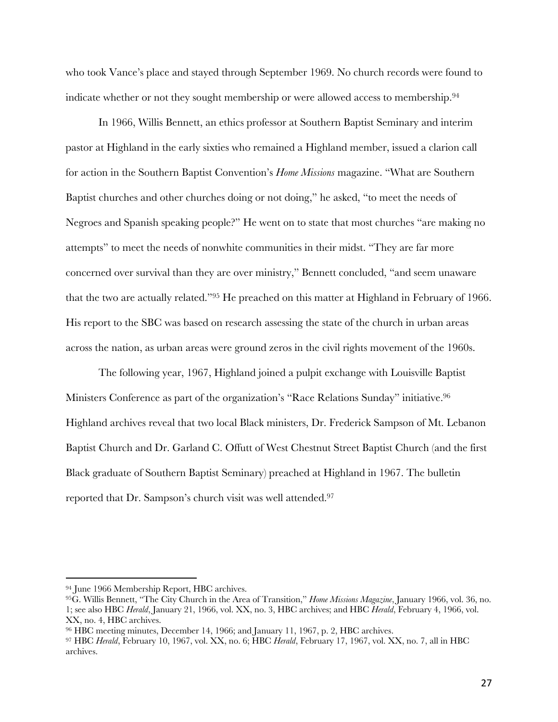who took Vance's place and stayed through September 1969. No church records were found to indicate whether or not they sought membership or were allowed access to membership.<sup>94</sup>

In 1966, Willis Bennett, an ethics professor at Southern Baptist Seminary and interim pastor at Highland in the early sixties who remained a Highland member, issued a clarion call for action in the Southern Baptist Convention's *Home Missions* magazine. "What are Southern Baptist churches and other churches doing or not doing," he asked, "to meet the needs of Negroes and Spanish speaking people?" He went on to state that most churches "are making no attempts" to meet the needs of nonwhite communities in their midst. "They are far more concerned over survival than they are over ministry," Bennett concluded, "and seem unaware that the two are actually related."95 He preached on this matter at Highland in February of 1966. His report to the SBC was based on research assessing the state of the church in urban areas across the nation, as urban areas were ground zeros in the civil rights movement of the 1960s.

The following year, 1967, Highland joined a pulpit exchange with Louisville Baptist Ministers Conference as part of the organization's "Race Relations Sunday" initiative.<sup>96</sup> Highland archives reveal that two local Black ministers, Dr. Frederick Sampson of Mt. Lebanon Baptist Church and Dr. Garland C. Offutt of West Chestnut Street Baptist Church (and the first Black graduate of Southern Baptist Seminary) preached at Highland in 1967. The bulletin reported that Dr. Sampson's church visit was well attended.97

<sup>94</sup> June 1966 Membership Report, HBC archives.

<sup>95</sup>G. Willis Bennett, "The City Church in the Area of Transition," *Home Missions Magazine*, January 1966, vol. 36, no. 1; see also HBC *Herald*, January 21, 1966, vol. XX, no. 3, HBC archives; and HBC *Herald*, February 4, 1966, vol. XX, no. 4, HBC archives.

<sup>96</sup> HBC meeting minutes, December 14, 1966; and January 11, 1967, p. 2, HBC archives.

<sup>97</sup> HBC *Herald*, February 10, 1967, vol. XX, no. 6; HBC *Herald*, February 17, 1967, vol. XX, no. 7, all in HBC archives.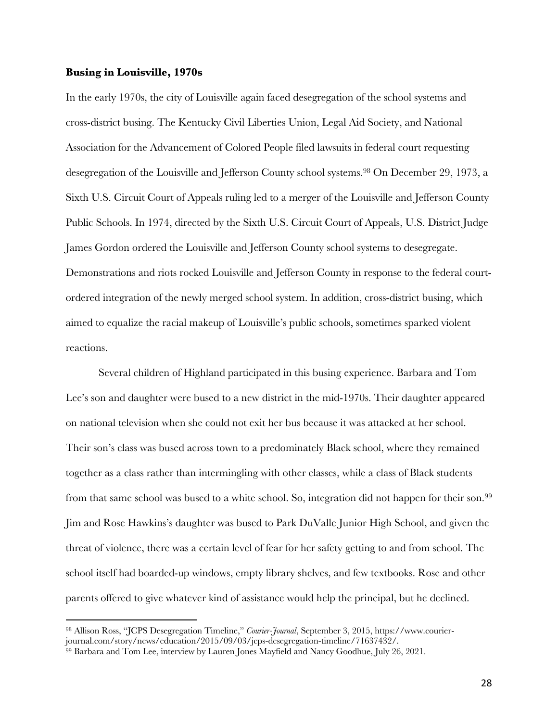#### **Busing in Louisville, 1970s**

In the early 1970s, the city of Louisville again faced desegregation of the school systems and cross-district busing. The Kentucky Civil Liberties Union, Legal Aid Society, and National Association for the Advancement of Colored People filed lawsuits in federal court requesting desegregation of the Louisville and Jefferson County school systems.98 On December 29, 1973, a Sixth U.S. Circuit Court of Appeals ruling led to a merger of the Louisville and Jefferson County Public Schools. In 1974, directed by the Sixth U.S. Circuit Court of Appeals, U.S. District Judge James Gordon ordered the Louisville and Jefferson County school systems to desegregate. Demonstrations and riots rocked Louisville and Jefferson County in response to the federal courtordered integration of the newly merged school system. In addition, cross-district busing, which aimed to equalize the racial makeup of Louisville's public schools, sometimes sparked violent reactions.

Several children of Highland participated in this busing experience. Barbara and Tom Lee's son and daughter were bused to a new district in the mid-1970s. Their daughter appeared on national television when she could not exit her bus because it was attacked at her school. Their son's class was bused across town to a predominately Black school, where they remained together as a class rather than intermingling with other classes, while a class of Black students from that same school was bused to a white school. So, integration did not happen for their son.99 Jim and Rose Hawkins's daughter was bused to Park DuValle Junior High School, and given the threat of violence, there was a certain level of fear for her safety getting to and from school. The school itself had boarded-up windows, empty library shelves, and few textbooks. Rose and other parents offered to give whatever kind of assistance would help the principal, but he declined.

<sup>98</sup> Allison Ross, "JCPS Desegregation Timeline," *Courier-Journal*, September 3, 2015, https://www.courierjournal.com/story/news/education/2015/09/03/jcps-desegregation-timeline/71637432/. 99 Barbara and Tom Lee, interview by Lauren Jones Mayfield and Nancy Goodhue, July 26, 2021.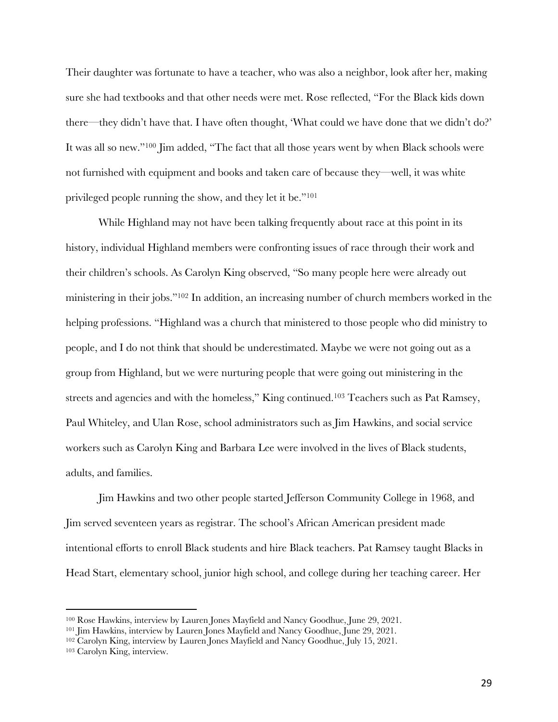Their daughter was fortunate to have a teacher, who was also a neighbor, look after her, making sure she had textbooks and that other needs were met. Rose reflected, "For the Black kids down there—they didn't have that. I have often thought, 'What could we have done that we didn't do?' It was all so new."100 Jim added, "The fact that all those years went by when Black schools were not furnished with equipment and books and taken care of because they—well, it was white privileged people running the show, and they let it be."101

While Highland may not have been talking frequently about race at this point in its history, individual Highland members were confronting issues of race through their work and their children's schools. As Carolyn King observed, "So many people here were already out ministering in their jobs."102 In addition, an increasing number of church members worked in the helping professions. "Highland was a church that ministered to those people who did ministry to people, and I do not think that should be underestimated. Maybe we were not going out as a group from Highland, but we were nurturing people that were going out ministering in the streets and agencies and with the homeless," King continued.103 Teachers such as Pat Ramsey, Paul Whiteley, and Ulan Rose, school administrators such as Jim Hawkins, and social service workers such as Carolyn King and Barbara Lee were involved in the lives of Black students, adults, and families.

Jim Hawkins and two other people started Jefferson Community College in 1968, and Jim served seventeen years as registrar. The school's African American president made intentional efforts to enroll Black students and hire Black teachers. Pat Ramsey taught Blacks in Head Start, elementary school, junior high school, and college during her teaching career. Her

<sup>100</sup> Rose Hawkins, interview by Lauren Jones Mayfield and Nancy Goodhue, June 29, 2021.

<sup>101</sup> Jim Hawkins, interview by Lauren Jones Mayfield and Nancy Goodhue, June 29, 2021.

<sup>102</sup> Carolyn King, interview by Lauren Jones Mayfield and Nancy Goodhue, July 15, 2021.

<sup>103</sup> Carolyn King, interview.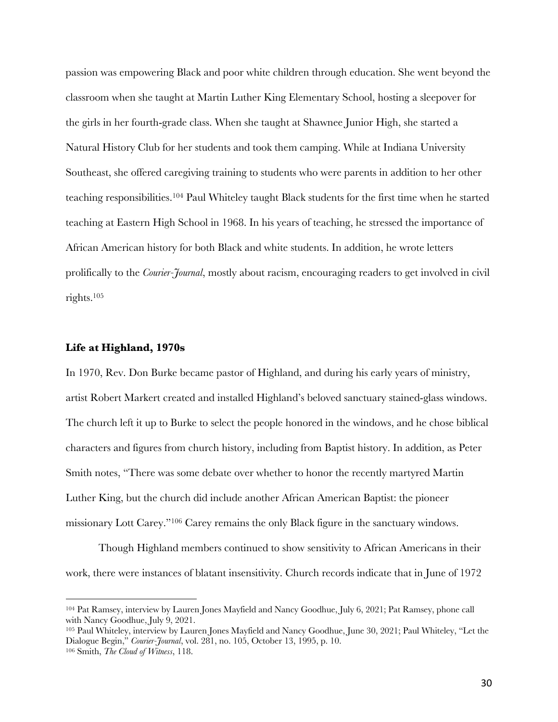passion was empowering Black and poor white children through education. She went beyond the classroom when she taught at Martin Luther King Elementary School, hosting a sleepover for the girls in her fourth-grade class. When she taught at Shawnee Junior High, she started a Natural History Club for her students and took them camping. While at Indiana University Southeast, she offered caregiving training to students who were parents in addition to her other teaching responsibilities.104 Paul Whiteley taught Black students for the first time when he started teaching at Eastern High School in 1968. In his years of teaching, he stressed the importance of African American history for both Black and white students. In addition, he wrote letters prolifically to the *Courier-Journal*, mostly about racism, encouraging readers to get involved in civil rights.105

## **Life at Highland, 1970s**

In 1970, Rev. Don Burke became pastor of Highland, and during his early years of ministry, artist Robert Markert created and installed Highland's beloved sanctuary stained-glass windows. The church left it up to Burke to select the people honored in the windows, and he chose biblical characters and figures from church history, including from Baptist history. In addition, as Peter Smith notes, "There was some debate over whether to honor the recently martyred Martin Luther King, but the church did include another African American Baptist: the pioneer missionary Lott Carey."106 Carey remains the only Black figure in the sanctuary windows.

Though Highland members continued to show sensitivity to African Americans in their work, there were instances of blatant insensitivity. Church records indicate that in June of 1972

<sup>104</sup> Pat Ramsey, interview by Lauren Jones Mayfield and Nancy Goodhue, July 6, 2021; Pat Ramsey, phone call with Nancy Goodhue, July 9, 2021.

<sup>105</sup> Paul Whiteley, interview by Lauren Jones Mayfield and Nancy Goodhue, June 30, 2021; Paul Whiteley, "Let the Dialogue Begin," *Courier-Journal*, vol. 281, no. 105, October 13, 1995, p. 10.

<sup>106</sup> Smith, *The Cloud of Witness*, 118.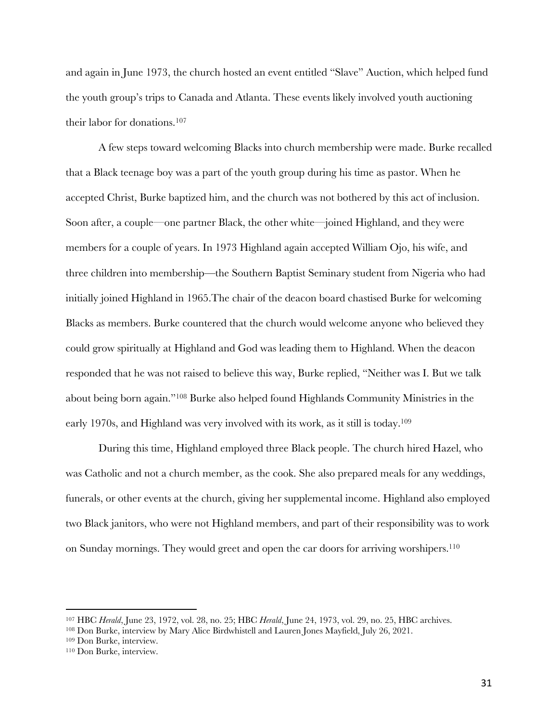and again in June 1973, the church hosted an event entitled "Slave" Auction, which helped fund the youth group's trips to Canada and Atlanta. These events likely involved youth auctioning their labor for donations.107

A few steps toward welcoming Blacks into church membership were made. Burke recalled that a Black teenage boy was a part of the youth group during his time as pastor. When he accepted Christ, Burke baptized him, and the church was not bothered by this act of inclusion. Soon after, a couple—one partner Black, the other white—joined Highland, and they were members for a couple of years. In 1973 Highland again accepted William Ojo, his wife, and three children into membership—the Southern Baptist Seminary student from Nigeria who had initially joined Highland in 1965.The chair of the deacon board chastised Burke for welcoming Blacks as members. Burke countered that the church would welcome anyone who believed they could grow spiritually at Highland and God was leading them to Highland. When the deacon responded that he was not raised to believe this way, Burke replied, "Neither was I. But we talk about being born again."108 Burke also helped found Highlands Community Ministries in the early 1970s, and Highland was very involved with its work, as it still is today.109

During this time, Highland employed three Black people. The church hired Hazel, who was Catholic and not a church member, as the cook. She also prepared meals for any weddings, funerals, or other events at the church, giving her supplemental income. Highland also employed two Black janitors, who were not Highland members, and part of their responsibility was to work on Sunday mornings. They would greet and open the car doors for arriving worshipers.110

<sup>107</sup> HBC *Herald*, June 23, 1972, vol. 28, no. 25; HBC *Herald*, June 24, 1973, vol. 29, no. 25, HBC archives.

<sup>108</sup> Don Burke, interview by Mary Alice Birdwhistell and Lauren Jones Mayfield, July 26, 2021.

<sup>109</sup> Don Burke, interview.

<sup>110</sup> Don Burke, interview.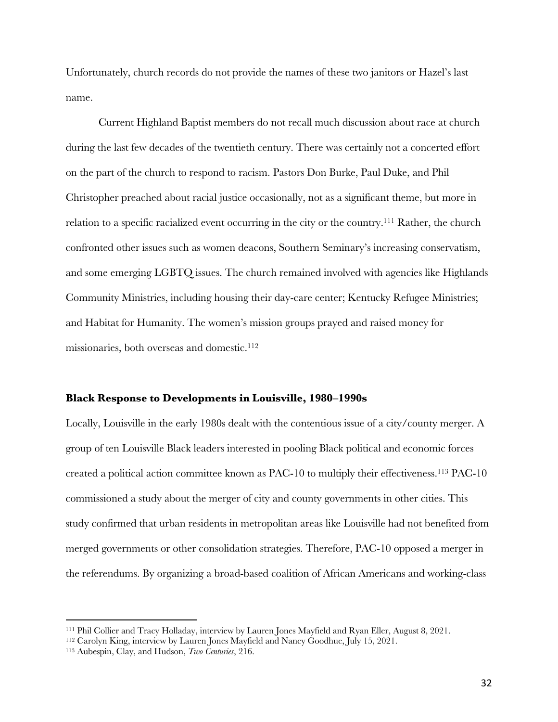Unfortunately, church records do not provide the names of these two janitors or Hazel's last name.

Current Highland Baptist members do not recall much discussion about race at church during the last few decades of the twentieth century. There was certainly not a concerted effort on the part of the church to respond to racism. Pastors Don Burke, Paul Duke, and Phil Christopher preached about racial justice occasionally, not as a significant theme, but more in relation to a specific racialized event occurring in the city or the country.111 Rather, the church confronted other issues such as women deacons, Southern Seminary's increasing conservatism, and some emerging LGBTQ issues. The church remained involved with agencies like Highlands Community Ministries, including housing their day-care center; Kentucky Refugee Ministries; and Habitat for Humanity. The women's mission groups prayed and raised money for missionaries, both overseas and domestic.<sup>112</sup>

## **Black Response to Developments in Louisville, 1980‒1990s**

Locally, Louisville in the early 1980s dealt with the contentious issue of a city/county merger. A group of ten Louisville Black leaders interested in pooling Black political and economic forces created a political action committee known as PAC-10 to multiply their effectiveness.113 PAC-10 commissioned a study about the merger of city and county governments in other cities. This study confirmed that urban residents in metropolitan areas like Louisville had not benefited from merged governments or other consolidation strategies. Therefore, PAC-10 opposed a merger in the referendums. By organizing a broad-based coalition of African Americans and working-class

<sup>111</sup> Phil Collier and Tracy Holladay, interview by Lauren Jones Mayfield and Ryan Eller, August 8, 2021.

<sup>112</sup> Carolyn King, interview by Lauren Jones Mayfield and Nancy Goodhue, July 15, 2021.

<sup>113</sup> Aubespin, Clay, and Hudson, *Two Centuries*, 216.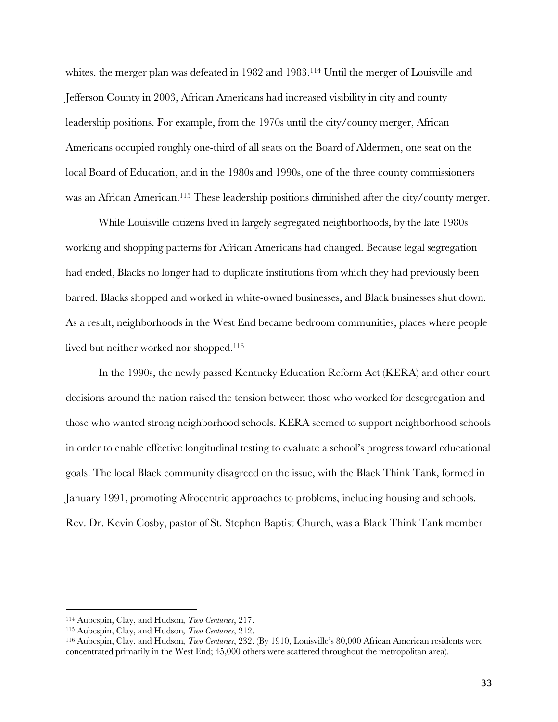whites, the merger plan was defeated in 1982 and 1983.<sup>114</sup> Until the merger of Louisville and Jefferson County in 2003, African Americans had increased visibility in city and county leadership positions. For example, from the 1970s until the city/county merger, African Americans occupied roughly one-third of all seats on the Board of Aldermen, one seat on the local Board of Education, and in the 1980s and 1990s, one of the three county commissioners was an African American.<sup>115</sup> These leadership positions diminished after the city/county merger.

While Louisville citizens lived in largely segregated neighborhoods, by the late 1980s working and shopping patterns for African Americans had changed. Because legal segregation had ended, Blacks no longer had to duplicate institutions from which they had previously been barred. Blacks shopped and worked in white-owned businesses, and Black businesses shut down. As a result, neighborhoods in the West End became bedroom communities, places where people lived but neither worked nor shopped.<sup>116</sup>

In the 1990s, the newly passed Kentucky Education Reform Act (KERA) and other court decisions around the nation raised the tension between those who worked for desegregation and those who wanted strong neighborhood schools. KERA seemed to support neighborhood schools in order to enable effective longitudinal testing to evaluate a school's progress toward educational goals. The local Black community disagreed on the issue, with the Black Think Tank, formed in January 1991, promoting Afrocentric approaches to problems, including housing and schools. Rev. Dr. Kevin Cosby, pastor of St. Stephen Baptist Church, was a Black Think Tank member

<sup>114</sup> Aubespin, Clay, and Hudson*, Two Centuries*, 217.

<sup>115</sup> Aubespin, Clay, and Hudson*, Two Centuries*, 212.

<sup>116</sup> Aubespin, Clay, and Hudson*, Two Centuries*, 232. (By 1910, Louisville's 80,000 African American residents were concentrated primarily in the West End; 45,000 others were scattered throughout the metropolitan area).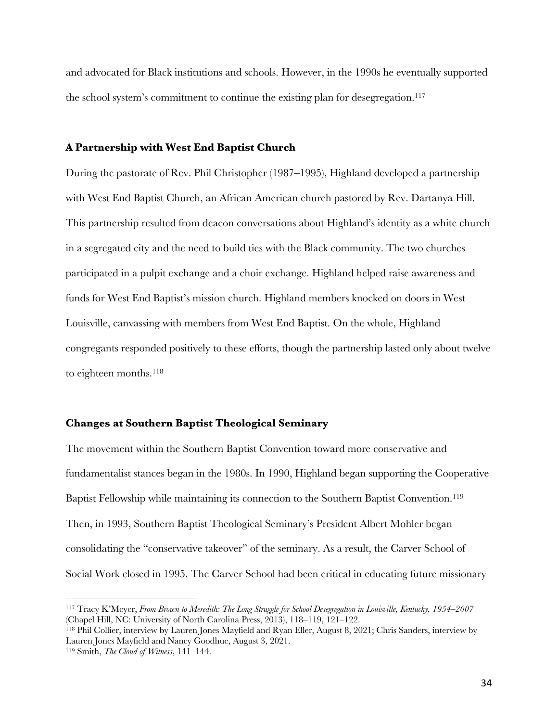and advocated for Black institutions and schools. However, in the 1990s he eventually supported the school system's commitment to continue the existing plan for desegregation.<sup>117</sup>

#### **A Partnership with West End Baptist Church**

During the pastorate of Rev. Phil Christopher (1987–1995), Highland developed a partnership with West End Baptist Church, an African American church pastored by Rev. Dartanya Hill. This partnership resulted from deacon conversations about Highland's identity as a white church in a segregated city and the need to build ties with the Black community. The two churches participated in a pulpit exchange and a choir exchange. Highland helped raise awareness and funds for West End Baptist's mission church. Highland members knocked on doors in West Louisville, canvassing with members from West End Baptist. On the whole, Highland congregants responded positively to these efforts, though the partnership lasted only about twelve to eighteen months.<sup>118</sup>

#### **Changes at Southern Baptist Theological Seminary**

The movement within the Southern Baptist Convention toward more conservative and fundamentalist stances began in the 1980s. In 1990, Highland began supporting the Cooperative Baptist Fellowship while maintaining its connection to the Southern Baptist Convention.119 Then, in 1993, Southern Baptist Theological Seminary's President Albert Mohler began consolidating the "conservative takeover" of the seminary. As a result, the Carver School of Social Work closed in 1995. The Carver School had been critical in educating future missionary

<sup>117</sup> Tracy K'Meyer, *From Brown to Meredith: The Long Struggle for School Desegregation in Louisville, Kentucky, 1954‒2007* (Chapel Hill, NC: University of North Carolina Press, 2013), 118-119, 121-122.

<sup>118</sup> Phil Collier, interview by Lauren Jones Mayfield and Ryan Eller, August 8, 2021; Chris Sanders, interview by Lauren Jones Mayfield and Nancy Goodhue, August 3, 2021.

<sup>119</sup> Smith, *The Cloud of Witness*, 141-144.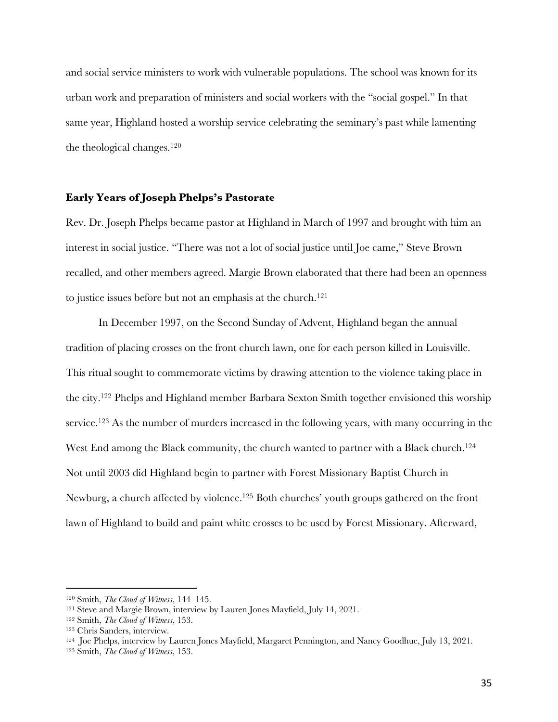and social service ministers to work with vulnerable populations. The school was known for its urban work and preparation of ministers and social workers with the "social gospel." In that same year, Highland hosted a worship service celebrating the seminary's past while lamenting the theological changes.120

## **Early Years of Joseph Phelps's Pastorate**

Rev. Dr. Joseph Phelps became pastor at Highland in March of 1997 and brought with him an interest in social justice. "There was not a lot of social justice until Joe came," Steve Brown recalled, and other members agreed. Margie Brown elaborated that there had been an openness to justice issues before but not an emphasis at the church.<sup>121</sup>

In December 1997, on the Second Sunday of Advent, Highland began the annual tradition of placing crosses on the front church lawn, one for each person killed in Louisville. This ritual sought to commemorate victims by drawing attention to the violence taking place in the city.122 Phelps and Highland member Barbara Sexton Smith together envisioned this worship service.<sup>123</sup> As the number of murders increased in the following years, with many occurring in the West End among the Black community, the church wanted to partner with a Black church.<sup>124</sup> Not until 2003 did Highland begin to partner with Forest Missionary Baptist Church in Newburg, a church affected by violence.<sup>125</sup> Both churches' youth groups gathered on the front lawn of Highland to build and paint white crosses to be used by Forest Missionary. Afterward,

<sup>120</sup> Smith, *The Cloud of Witness*, 144‒145.

<sup>121</sup> Steve and Margie Brown, interview by Lauren Jones Mayfield, July 14, 2021.

<sup>122</sup> Smith, *The Cloud of Witness*, 153.

<sup>123</sup> Chris Sanders, interview.

<sup>124</sup> Joe Phelps, interview by Lauren Jones Mayfield, Margaret Pennington, and Nancy Goodhue, July 13, 2021.

<sup>125</sup> Smith, *The Cloud of Witness*, 153.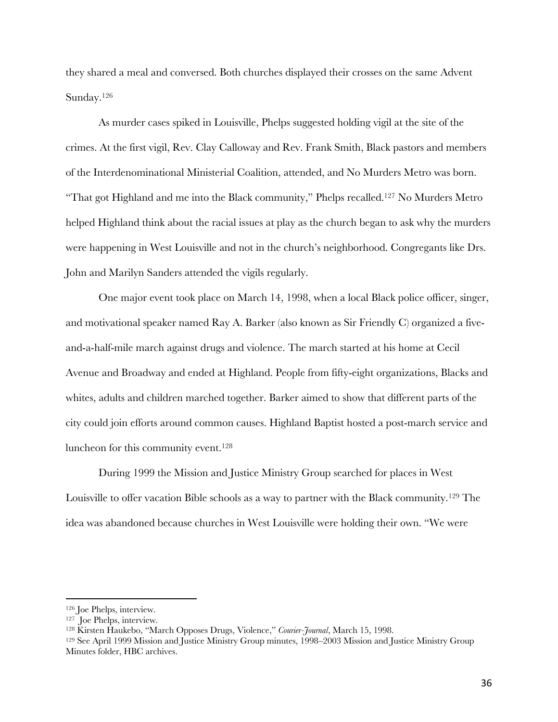they shared a meal and conversed. Both churches displayed their crosses on the same Advent Sunday.126

As murder cases spiked in Louisville, Phelps suggested holding vigil at the site of the crimes. At the first vigil, Rev. Clay Calloway and Rev. Frank Smith, Black pastors and members of the Interdenominational Ministerial Coalition, attended, and No Murders Metro was born. "That got Highland and me into the Black community," Phelps recalled.127 No Murders Metro helped Highland think about the racial issues at play as the church began to ask why the murders were happening in West Louisville and not in the church's neighborhood. Congregants like Drs. John and Marilyn Sanders attended the vigils regularly.

One major event took place on March 14, 1998, when a local Black police officer, singer, and motivational speaker named Ray A. Barker (also known as Sir Friendly C) organized a fiveand-a-half-mile march against drugs and violence. The march started at his home at Cecil Avenue and Broadway and ended at Highland. People from fifty-eight organizations, Blacks and whites, adults and children marched together. Barker aimed to show that different parts of the city could join efforts around common causes. Highland Baptist hosted a post-march service and luncheon for this community event.<sup>128</sup>

During 1999 the Mission and Justice Ministry Group searched for places in West Louisville to offer vacation Bible schools as a way to partner with the Black community.129 The idea was abandoned because churches in West Louisville were holding their own. "We were

<sup>126</sup> Joe Phelps, interview.

<sup>127</sup> Joe Phelps, interview.

<sup>128</sup> Kirsten Haukebo, "March Opposes Drugs, Violence," *Courier-Journal*, March 15, 1998.

<sup>&</sup>lt;sup>129</sup> See April 1999 Mission and Justice Ministry Group minutes, 1998–2003 Mission and Justice Ministry Group Minutes folder, HBC archives.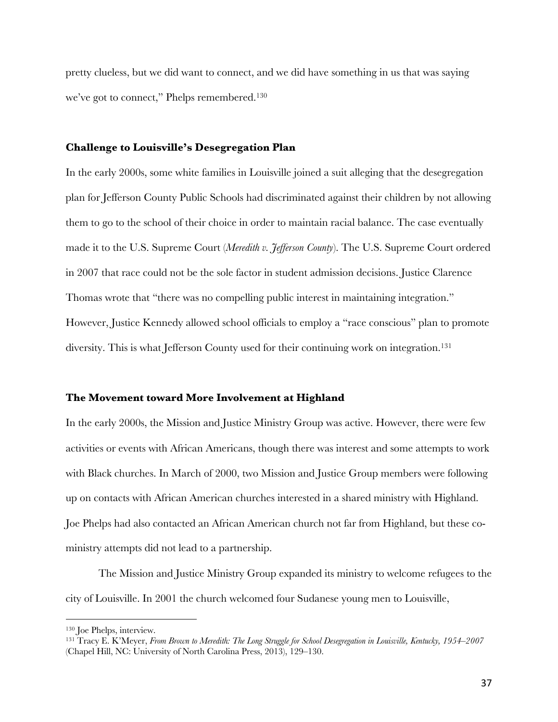pretty clueless, but we did want to connect, and we did have something in us that was saying we've got to connect," Phelps remembered.130

#### **Challenge to Louisville's Desegregation Plan**

In the early 2000s, some white families in Louisville joined a suit alleging that the desegregation plan for Jefferson County Public Schools had discriminated against their children by not allowing them to go to the school of their choice in order to maintain racial balance. The case eventually made it to the U.S. Supreme Court (*Meredith v. Jefferson County*). The U.S. Supreme Court ordered in 2007 that race could not be the sole factor in student admission decisions. Justice Clarence Thomas wrote that "there was no compelling public interest in maintaining integration." However, Justice Kennedy allowed school officials to employ a "race conscious" plan to promote diversity. This is what Jefferson County used for their continuing work on integration.<sup>131</sup>

## **The Movement toward More Involvement at Highland**

In the early 2000s, the Mission and Justice Ministry Group was active. However, there were few activities or events with African Americans, though there was interest and some attempts to work with Black churches. In March of 2000, two Mission and Justice Group members were following up on contacts with African American churches interested in a shared ministry with Highland. Joe Phelps had also contacted an African American church not far from Highland, but these coministry attempts did not lead to a partnership.

The Mission and Justice Ministry Group expanded its ministry to welcome refugees to the city of Louisville. In 2001 the church welcomed four Sudanese young men to Louisville,

<sup>130</sup> Joe Phelps, interview.

<sup>131</sup> Tracy E. K'Meyer, *From Brown to Meredith: The Long Struggle for School Desegregation in Louisville, Kentucky, 1954‒2007* (Chapel Hill, NC: University of North Carolina Press, 2013), 129-130.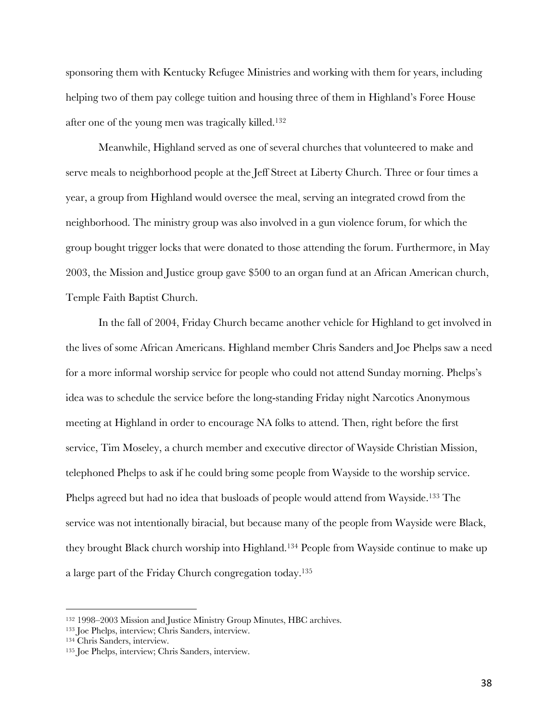sponsoring them with Kentucky Refugee Ministries and working with them for years, including helping two of them pay college tuition and housing three of them in Highland's Foree House after one of the young men was tragically killed.132

Meanwhile, Highland served as one of several churches that volunteered to make and serve meals to neighborhood people at the Jeff Street at Liberty Church. Three or four times a year, a group from Highland would oversee the meal, serving an integrated crowd from the neighborhood. The ministry group was also involved in a gun violence forum, for which the group bought trigger locks that were donated to those attending the forum. Furthermore, in May 2003, the Mission and Justice group gave \$500 to an organ fund at an African American church, Temple Faith Baptist Church.

In the fall of 2004, Friday Church became another vehicle for Highland to get involved in the lives of some African Americans. Highland member Chris Sanders and Joe Phelps saw a need for a more informal worship service for people who could not attend Sunday morning. Phelps's idea was to schedule the service before the long-standing Friday night Narcotics Anonymous meeting at Highland in order to encourage NA folks to attend. Then, right before the first service, Tim Moseley, a church member and executive director of Wayside Christian Mission, telephoned Phelps to ask if he could bring some people from Wayside to the worship service. Phelps agreed but had no idea that busloads of people would attend from Wayside.<sup>133</sup> The service was not intentionally biracial, but because many of the people from Wayside were Black, they brought Black church worship into Highland.134 People from Wayside continue to make up a large part of the Friday Church congregation today.135

<sup>&</sup>lt;sup>132</sup> 1998–2003 Mission and Justice Ministry Group Minutes, HBC archives.<br><sup>133</sup> Joe Phelps, interview; Chris Sanders, interview.

<sup>134</sup> Chris Sanders, interview.

<sup>135</sup> Joe Phelps, interview; Chris Sanders, interview.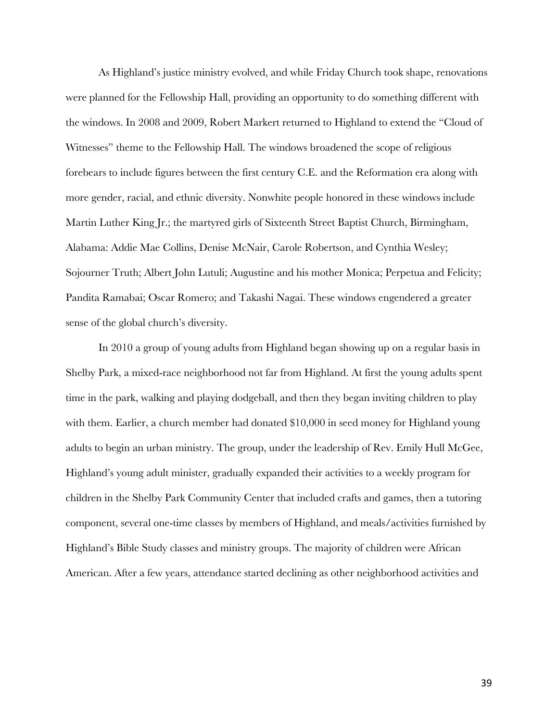As Highland's justice ministry evolved, and while Friday Church took shape, renovations were planned for the Fellowship Hall, providing an opportunity to do something different with the windows. In 2008 and 2009, Robert Markert returned to Highland to extend the "Cloud of Witnesses" theme to the Fellowship Hall. The windows broadened the scope of religious forebears to include figures between the first century C.E. and the Reformation era along with more gender, racial, and ethnic diversity. Nonwhite people honored in these windows include Martin Luther King Jr.; the martyred girls of Sixteenth Street Baptist Church, Birmingham, Alabama: Addie Mae Collins, Denise McNair, Carole Robertson, and Cynthia Wesley; Sojourner Truth; Albert John Lutuli; Augustine and his mother Monica; Perpetua and Felicity; Pandita Ramabai; Oscar Romero; and Takashi Nagai. These windows engendered a greater sense of the global church's diversity.

In 2010 a group of young adults from Highland began showing up on a regular basis in Shelby Park, a mixed-race neighborhood not far from Highland. At first the young adults spent time in the park, walking and playing dodgeball, and then they began inviting children to play with them. Earlier, a church member had donated \$10,000 in seed money for Highland young adults to begin an urban ministry. The group, under the leadership of Rev. Emily Hull McGee, Highland's young adult minister, gradually expanded their activities to a weekly program for children in the Shelby Park Community Center that included crafts and games, then a tutoring component, several one-time classes by members of Highland, and meals/activities furnished by Highland's Bible Study classes and ministry groups. The majority of children were African American. After a few years, attendance started declining as other neighborhood activities and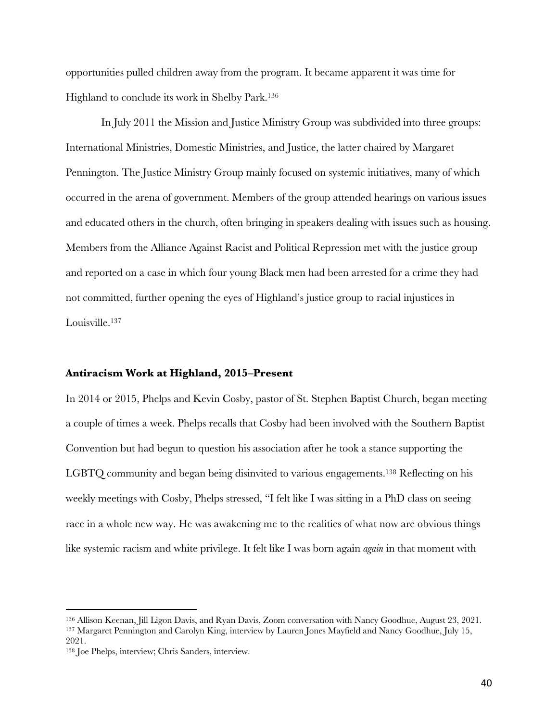opportunities pulled children away from the program. It became apparent it was time for Highland to conclude its work in Shelby Park.136

In July 2011 the Mission and Justice Ministry Group was subdivided into three groups: International Ministries, Domestic Ministries, and Justice, the latter chaired by Margaret Pennington. The Justice Ministry Group mainly focused on systemic initiatives, many of which occurred in the arena of government. Members of the group attended hearings on various issues and educated others in the church, often bringing in speakers dealing with issues such as housing. Members from the Alliance Against Racist and Political Repression met with the justice group and reported on a case in which four young Black men had been arrested for a crime they had not committed, further opening the eyes of Highland's justice group to racial injustices in Louisville.<sup>137</sup>

#### **Antiracism Work at Highland, 2015‒Present**

In 2014 or 2015, Phelps and Kevin Cosby, pastor of St. Stephen Baptist Church, began meeting a couple of times a week. Phelps recalls that Cosby had been involved with the Southern Baptist Convention but had begun to question his association after he took a stance supporting the LGBTQ community and began being disinvited to various engagements.138 Reflecting on his weekly meetings with Cosby, Phelps stressed, "I felt like I was sitting in a PhD class on seeing race in a whole new way. He was awakening me to the realities of what now are obvious things like systemic racism and white privilege. It felt like I was born again *again* in that moment with

<sup>136</sup> Allison Keenan, Jill Ligon Davis, and Ryan Davis, Zoom conversation with Nancy Goodhue, August 23, 2021. <sup>137</sup> Margaret Pennington and Carolyn King, interview by Lauren Jones Mayfield and Nancy Goodhue, July 15,

<sup>2021.</sup>

<sup>138</sup> Joe Phelps, interview; Chris Sanders, interview.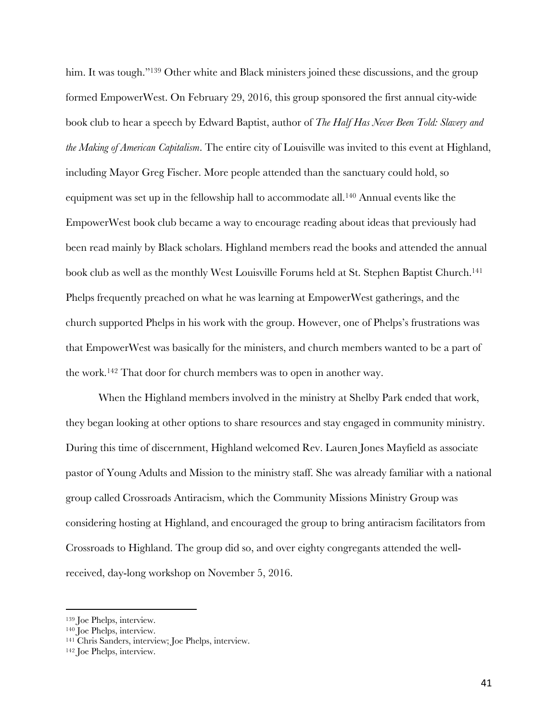him. It was tough."<sup>139</sup> Other white and Black ministers joined these discussions, and the group formed EmpowerWest. On February 29, 2016, this group sponsored the first annual city-wide book club to hear a speech by Edward Baptist, author of *The Half Has Never Been Told: Slavery and the Making of American Capitalism*. The entire city of Louisville was invited to this event at Highland, including Mayor Greg Fischer. More people attended than the sanctuary could hold, so equipment was set up in the fellowship hall to accommodate all.140 Annual events like the EmpowerWest book club became a way to encourage reading about ideas that previously had been read mainly by Black scholars. Highland members read the books and attended the annual book club as well as the monthly West Louisville Forums held at St. Stephen Baptist Church.<sup>141</sup> Phelps frequently preached on what he was learning at EmpowerWest gatherings, and the church supported Phelps in his work with the group. However, one of Phelps's frustrations was that EmpowerWest was basically for the ministers, and church members wanted to be a part of the work.142 That door for church members was to open in another way.

When the Highland members involved in the ministry at Shelby Park ended that work, they began looking at other options to share resources and stay engaged in community ministry. During this time of discernment, Highland welcomed Rev. Lauren Jones Mayfield as associate pastor of Young Adults and Mission to the ministry staff. She was already familiar with a national group called Crossroads Antiracism, which the Community Missions Ministry Group was considering hosting at Highland, and encouraged the group to bring antiracism facilitators from Crossroads to Highland. The group did so, and over eighty congregants attended the wellreceived, day-long workshop on November 5, 2016.

<sup>139</sup> Joe Phelps, interview.

<sup>140</sup> Joe Phelps, interview.

<sup>141</sup> Chris Sanders, interview; Joe Phelps, interview.

<sup>142</sup> Joe Phelps, interview.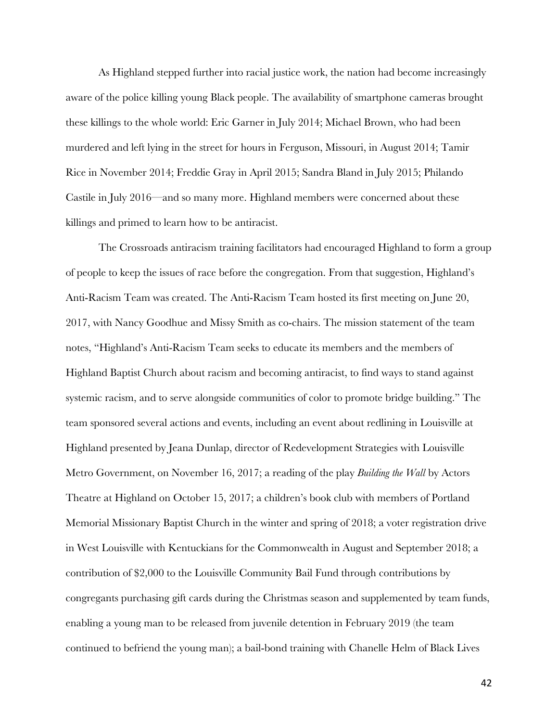As Highland stepped further into racial justice work, the nation had become increasingly aware of the police killing young Black people. The availability of smartphone cameras brought these killings to the whole world: Eric Garner in July 2014; Michael Brown, who had been murdered and left lying in the street for hours in Ferguson, Missouri, in August 2014; Tamir Rice in November 2014; Freddie Gray in April 2015; Sandra Bland in July 2015; Philando Castile in July 2016—and so many more. Highland members were concerned about these killings and primed to learn how to be antiracist.

The Crossroads antiracism training facilitators had encouraged Highland to form a group of people to keep the issues of race before the congregation. From that suggestion, Highland's Anti-Racism Team was created. The Anti-Racism Team hosted its first meeting on June 20, 2017, with Nancy Goodhue and Missy Smith as co-chairs. The mission statement of the team notes, "Highland's Anti-Racism Team seeks to educate its members and the members of Highland Baptist Church about racism and becoming antiracist, to find ways to stand against systemic racism, and to serve alongside communities of color to promote bridge building." The team sponsored several actions and events, including an event about redlining in Louisville at Highland presented by Jeana Dunlap, director of Redevelopment Strategies with Louisville Metro Government, on November 16, 2017; a reading of the play *Building the Wall* by Actors Theatre at Highland on October 15, 2017; a children's book club with members of Portland Memorial Missionary Baptist Church in the winter and spring of 2018; a voter registration drive in West Louisville with Kentuckians for the Commonwealth in August and September 2018; a contribution of \$2,000 to the Louisville Community Bail Fund through contributions by congregants purchasing gift cards during the Christmas season and supplemented by team funds, enabling a young man to be released from juvenile detention in February 2019 (the team continued to befriend the young man); a bail-bond training with Chanelle Helm of Black Lives

42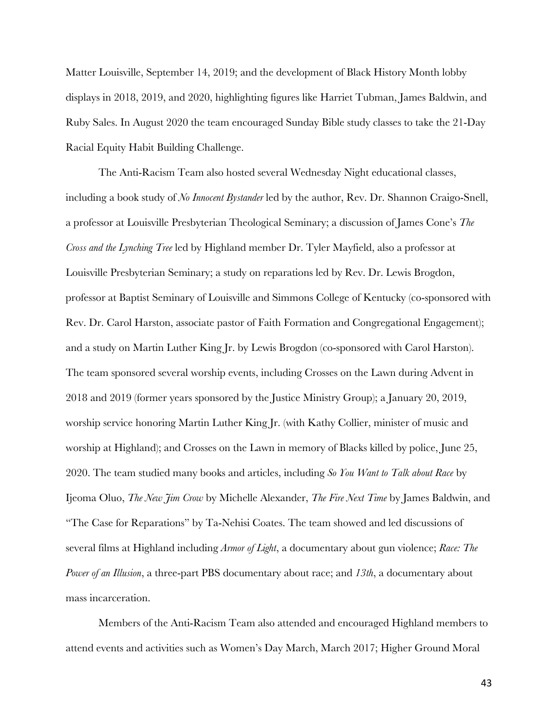Matter Louisville, September 14, 2019; and the development of Black History Month lobby displays in 2018, 2019, and 2020, highlighting figures like Harriet Tubman, James Baldwin, and Ruby Sales. In August 2020 the team encouraged Sunday Bible study classes to take the 21-Day Racial Equity Habit Building Challenge.

The Anti-Racism Team also hosted several Wednesday Night educational classes, including a book study of *No Innocent Bystander* led by the author, Rev. Dr. Shannon Craigo-Snell, a professor at Louisville Presbyterian Theological Seminary; a discussion of James Cone's *The Cross and the Lynching Tree* led by Highland member Dr. Tyler Mayfield, also a professor at Louisville Presbyterian Seminary; a study on reparations led by Rev. Dr. Lewis Brogdon, professor at Baptist Seminary of Louisville and Simmons College of Kentucky (co-sponsored with Rev. Dr. Carol Harston, associate pastor of Faith Formation and Congregational Engagement); and a study on Martin Luther King Jr. by Lewis Brogdon (co-sponsored with Carol Harston). The team sponsored several worship events, including Crosses on the Lawn during Advent in 2018 and 2019 (former years sponsored by the Justice Ministry Group); a January 20, 2019, worship service honoring Martin Luther King Jr. (with Kathy Collier, minister of music and worship at Highland); and Crosses on the Lawn in memory of Blacks killed by police, June 25, 2020. The team studied many books and articles, including *So You Want to Talk about Race* by Ijeoma Oluo, *The New Jim Crow* by Michelle Alexander, *The Fire Next Time* by James Baldwin, and "The Case for Reparations" by Ta-Nehisi Coates. The team showed and led discussions of several films at Highland including *Armor of Light*, a documentary about gun violence; *Race: The Power of an Illusion*, a three-part PBS documentary about race; and *13th*, a documentary about mass incarceration.

Members of the Anti-Racism Team also attended and encouraged Highland members to attend events and activities such as Women's Day March, March 2017; Higher Ground Moral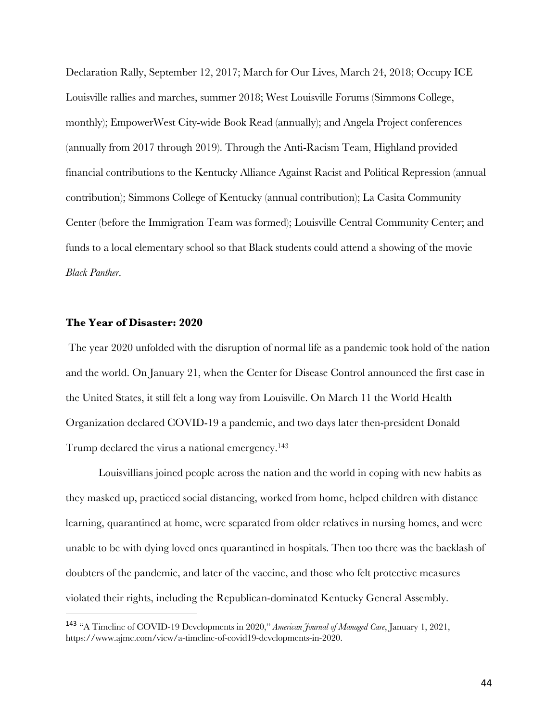Declaration Rally, September 12, 2017; March for Our Lives, March 24, 2018; Occupy ICE Louisville rallies and marches, summer 2018; West Louisville Forums (Simmons College, monthly); EmpowerWest City-wide Book Read (annually); and Angela Project conferences (annually from 2017 through 2019). Through the Anti-Racism Team, Highland provided financial contributions to the Kentucky Alliance Against Racist and Political Repression (annual contribution); Simmons College of Kentucky (annual contribution); La Casita Community Center (before the Immigration Team was formed); Louisville Central Community Center; and funds to a local elementary school so that Black students could attend a showing of the movie *Black Panther*.

## **The Year of Disaster: 2020**

The year 2020 unfolded with the disruption of normal life as a pandemic took hold of the nation and the world. On January 21, when the Center for Disease Control announced the first case in the United States, it still felt a long way from Louisville. On March 11 the World Health Organization declared COVID-19 a pandemic, and two days later then-president Donald Trump declared the virus a national emergency.143

Louisvillians joined people across the nation and the world in coping with new habits as they masked up, practiced social distancing, worked from home, helped children with distance learning, quarantined at home, were separated from older relatives in nursing homes, and were unable to be with dying loved ones quarantined in hospitals. Then too there was the backlash of doubters of the pandemic, and later of the vaccine, and those who felt protective measures violated their rights, including the Republican-dominated Kentucky General Assembly.

<sup>143</sup> "A Timeline of COVID-19 Developments in 2020," *American Journal of Managed Care*, January 1, 2021, https://www.ajmc.com/view/a-timeline-of-covid19-developments-in-2020.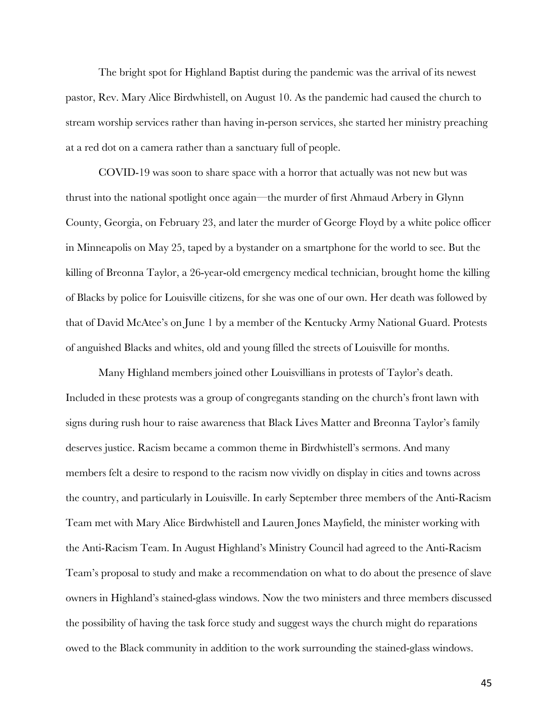The bright spot for Highland Baptist during the pandemic was the arrival of its newest pastor, Rev. Mary Alice Birdwhistell, on August 10. As the pandemic had caused the church to stream worship services rather than having in-person services, she started her ministry preaching at a red dot on a camera rather than a sanctuary full of people.

COVID-19 was soon to share space with a horror that actually was not new but was thrust into the national spotlight once again—the murder of first Ahmaud Arbery in Glynn County, Georgia, on February 23, and later the murder of George Floyd by a white police officer in Minneapolis on May 25, taped by a bystander on a smartphone for the world to see. But the killing of Breonna Taylor, a 26-year-old emergency medical technician, brought home the killing of Blacks by police for Louisville citizens, for she was one of our own. Her death was followed by that of David McAtee's on June 1 by a member of the Kentucky Army National Guard. Protests of anguished Blacks and whites, old and young filled the streets of Louisville for months.

Many Highland members joined other Louisvillians in protests of Taylor's death. Included in these protests was a group of congregants standing on the church's front lawn with signs during rush hour to raise awareness that Black Lives Matter and Breonna Taylor's family deserves justice. Racism became a common theme in Birdwhistell's sermons. And many members felt a desire to respond to the racism now vividly on display in cities and towns across the country, and particularly in Louisville. In early September three members of the Anti-Racism Team met with Mary Alice Birdwhistell and Lauren Jones Mayfield, the minister working with the Anti-Racism Team. In August Highland's Ministry Council had agreed to the Anti-Racism Team's proposal to study and make a recommendation on what to do about the presence of slave owners in Highland's stained-glass windows. Now the two ministers and three members discussed the possibility of having the task force study and suggest ways the church might do reparations owed to the Black community in addition to the work surrounding the stained-glass windows.

45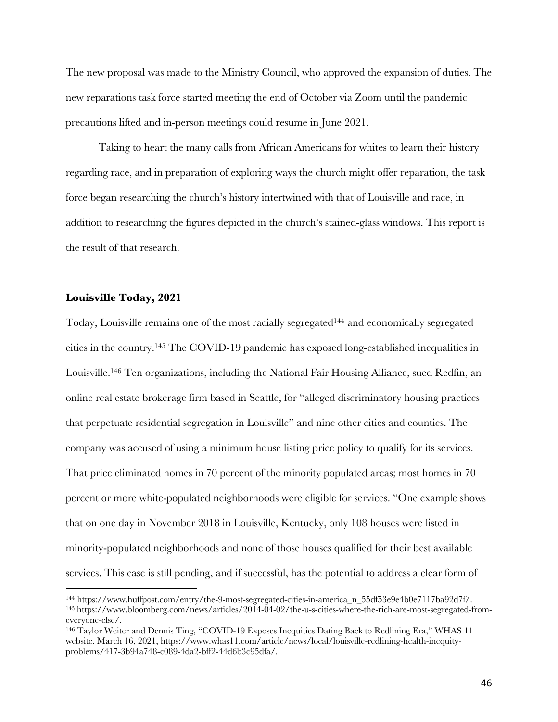The new proposal was made to the Ministry Council, who approved the expansion of duties. The new reparations task force started meeting the end of October via Zoom until the pandemic precautions lifted and in-person meetings could resume in June 2021.

Taking to heart the many calls from African Americans for whites to learn their history regarding race, and in preparation of exploring ways the church might offer reparation, the task force began researching the church's history intertwined with that of Louisville and race, in addition to researching the figures depicted in the church's stained-glass windows. This report is the result of that research.

## **Louisville Today, 2021**

Today, Louisville remains one of the most racially segregated<sup>144</sup> and economically segregated cities in the country.145 The COVID-19 pandemic has exposed long-established inequalities in Louisville.146 Ten organizations, including the National Fair Housing Alliance, sued Redfin, an online real estate brokerage firm based in Seattle, for "alleged discriminatory housing practices that perpetuate residential segregation in Louisville" and nine other cities and counties. The company was accused of using a minimum house listing price policy to qualify for its services. That price eliminated homes in 70 percent of the minority populated areas; most homes in 70 percent or more white-populated neighborhoods were eligible for services. "One example shows that on one day in November 2018 in Louisville, Kentucky, only 108 houses were listed in minority-populated neighborhoods and none of those houses qualified for their best available services. This case is still pending, and if successful, has the potential to address a clear form of

<sup>144</sup> https://www.huffpost.com/entry/the-9-most-segregated-cities-in-america\_n\_55df53e9e4b0e7117ba92d7f/. <sup>145</sup> https://www.bloomberg.com/news/articles/2014-04-02/the-u-s-cities-where-the-rich-are-most-segregated-fromeveryone-else/.

<sup>146</sup> Taylor Weiter and Dennis Ting, "COVID-19 Exposes Inequities Dating Back to Redlining Era," WHAS 11 website, March 16, 2021, https://www.whas11.com/article/news/local/louisville-redlining-health-inequityproblems/417-3b94a748-c089-4da2-bff2-44d6b3c95dfa/.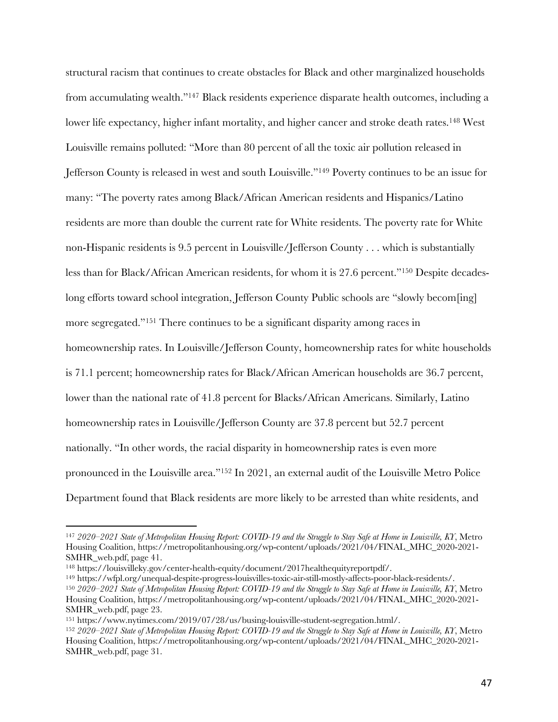structural racism that continues to create obstacles for Black and other marginalized households from accumulating wealth."147 Black residents experience disparate health outcomes, including a lower life expectancy, higher infant mortality, and higher cancer and stroke death rates.148 West Louisville remains polluted: "More than 80 percent of all the toxic air pollution released in Jefferson County is released in west and south Louisville."149 Poverty continues to be an issue for many: "The poverty rates among Black/African American residents and Hispanics/Latino residents are more than double the current rate for White residents. The poverty rate for White non-Hispanic residents is 9.5 percent in Louisville/Jefferson County . . . which is substantially less than for Black/African American residents, for whom it is 27.6 percent."150 Despite decadeslong efforts toward school integration, Jefferson County Public schools are "slowly becom[ing] more segregated."151 There continues to be a significant disparity among races in homeownership rates. In Louisville/Jefferson County, homeownership rates for white households is 71.1 percent; homeownership rates for Black/African American households are 36.7 percent, lower than the national rate of 41.8 percent for Blacks/African Americans. Similarly, Latino homeownership rates in Louisville/Jefferson County are 37.8 percent but 52.7 percent nationally. "In other words, the racial disparity in homeownership rates is even more pronounced in the Louisville area."152 In 2021, an external audit of the Louisville Metro Police Department found that Black residents are more likely to be arrested than white residents, and

<sup>147</sup> *2020–2021 State of Metropolitan Housing Report: COVID-19 and the Struggle to Stay Safe at Home in Louisville, KY*, Metro Housing Coalition, https://metropolitanhousing.org/wp-content/uploads/2021/04/FINAL\_MHC\_2020-2021- SMHR\_web.pdf, page 41.

<sup>148</sup> https://louisvilleky.gov/center-health-equity/document/2017healthequityreportpdf/.

<sup>149</sup> https://wfpl.org/unequal-despite-progress-louisvilles-toxic-air-still-mostly-affects-poor-black-residents/. <sup>150</sup> *2020–2021 State of Metropolitan Housing Report: COVID-19 and the Struggle to Stay Safe at Home in Louisville, KY*, Metro Housing Coalition, https://metropolitanhousing.org/wp-content/uploads/2021/04/FINAL\_MHC\_2020-2021- SMHR\_web.pdf, page 23.

<sup>151</sup> https://www.nytimes.com/2019/07/28/us/busing-louisville-student-segregation.html/.

<sup>152</sup> *2020–2021 State of Metropolitan Housing Report: COVID-19 and the Struggle to Stay Safe at Home in Louisville, KY*, Metro Housing Coalition, https://metropolitanhousing.org/wp-content/uploads/2021/04/FINAL\_MHC\_2020-2021- SMHR\_web.pdf, page 31.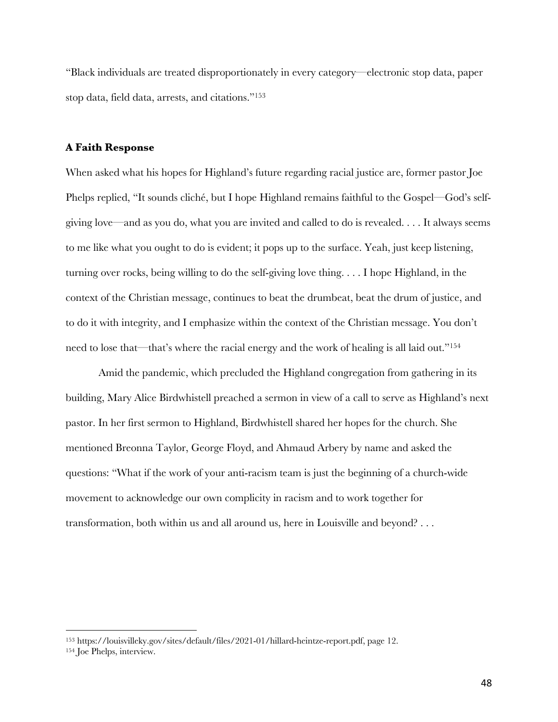"Black individuals are treated disproportionately in every category—electronic stop data, paper stop data, field data, arrests, and citations."153

## **A Faith Response**

When asked what his hopes for Highland's future regarding racial justice are, former pastor Joe Phelps replied, "It sounds cliché, but I hope Highland remains faithful to the Gospel—God's selfgiving love—and as you do, what you are invited and called to do is revealed. . . . It always seems to me like what you ought to do is evident; it pops up to the surface. Yeah, just keep listening, turning over rocks, being willing to do the self-giving love thing. . . . I hope Highland, in the context of the Christian message, continues to beat the drumbeat, beat the drum of justice, and to do it with integrity, and I emphasize within the context of the Christian message. You don't need to lose that—that's where the racial energy and the work of healing is all laid out."154

Amid the pandemic, which precluded the Highland congregation from gathering in its building, Mary Alice Birdwhistell preached a sermon in view of a call to serve as Highland's next pastor. In her first sermon to Highland, Birdwhistell shared her hopes for the church. She mentioned Breonna Taylor, George Floyd, and Ahmaud Arbery by name and asked the questions: "What if the work of your anti-racism team is just the beginning of a church-wide movement to acknowledge our own complicity in racism and to work together for transformation, both within us and all around us, here in Louisville and beyond? . . .

<sup>153</sup> https://louisvilleky.gov/sites/default/files/2021-01/hillard-heintze-report.pdf, page 12.

<sup>154</sup> Joe Phelps, interview.